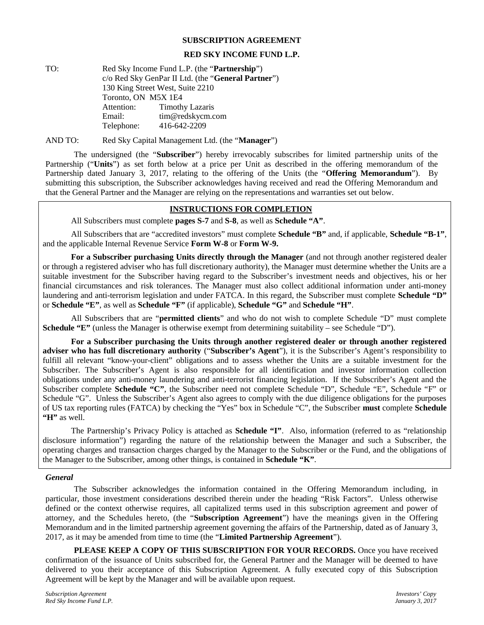#### **SUBSCRIPTION AGREEMENT**

#### **RED SKY INCOME FUND L.P.**

TO: Red Sky Income Fund L.P. (the "**Partnership**") c/o Red Sky GenPar II Ltd. (the "**General Partner**") 130 King Street West, Suite 2210 Toronto, ON M5X 1E4 Attention: Timothy Lazaris Email: tim@redskycm.com Telephone: 416-642-2209

AND TO: Red Sky Capital Management Ltd. (the "**Manager**")

The undersigned (the "**Subscriber**") hereby irrevocably subscribes for limited partnership units of the Partnership ("**Units**") as set forth below at a price per Unit as described in the offering memorandum of the Partnership dated January 3, 2017, relating to the offering of the Units (the "**Offering Memorandum**"). By submitting this subscription, the Subscriber acknowledges having received and read the Offering Memorandum and that the General Partner and the Manager are relying on the representations and warranties set out below.

# **INSTRUCTIONS FOR COMPLETION**

All Subscribers must complete **pages S-7** and **S-8**, as well as **Schedule "A"**.

All Subscribers that are "accredited investors" must complete **Schedule "B"** and, if applicable, **Schedule "B-1"**, and the applicable Internal Revenue Service **Form W-8** or **Form W-9.**

**For a Subscriber purchasing Units directly through the Manager** (and not through another registered dealer or through a registered adviser who has full discretionary authority), the Manager must determine whether the Units are a suitable investment for the Subscriber having regard to the Subscriber's investment needs and objectives, his or her financial circumstances and risk tolerances. The Manager must also collect additional information under anti-money laundering and anti-terrorism legislation and under FATCA. In this regard, the Subscriber must complete **Schedule "D"** or **Schedule "E"**, as well as **Schedule "F"** (if applicable), **Schedule "G"** and **Schedule "H"**.

All Subscribers that are "**permitted clients**" and who do not wish to complete Schedule "D" must complete **Schedule "E"** (unless the Manager is otherwise exempt from determining suitability – see Schedule "D").

**For a Subscriber purchasing the Units through another registered dealer or through another registered adviser who has full discretionary authority** ("**Subscriber's Agent**"), it is the Subscriber's Agent's responsibility to fulfill all relevant "know-your-client" obligations and to assess whether the Units are a suitable investment for the Subscriber. The Subscriber's Agent is also responsible for all identification and investor information collection obligations under any anti-money laundering and anti-terrorist financing legislation. If the Subscriber's Agent and the Subscriber complete **Schedule "C"**, the Subscriber need not complete Schedule "D", Schedule "E", Schedule "F" or Schedule "G". Unless the Subscriber's Agent also agrees to comply with the due diligence obligations for the purposes of US tax reporting rules (FATCA) by checking the "Yes" box in Schedule "C", the Subscriber **must** complete **Schedule "H"** as well.

The Partnership's Privacy Policy is attached as **Schedule "I"**. Also, information (referred to as "relationship disclosure information") regarding the nature of the relationship between the Manager and such a Subscriber, the operating charges and transaction charges charged by the Manager to the Subscriber or the Fund, and the obligations of the Manager to the Subscriber, among other things, is contained in **Schedule "K"**.

#### *General*

The Subscriber acknowledges the information contained in the Offering Memorandum including, in particular, those investment considerations described therein under the heading "Risk Factors". Unless otherwise defined or the context otherwise requires, all capitalized terms used in this subscription agreement and power of attorney, and the Schedules hereto, (the "**Subscription Agreement**") have the meanings given in the Offering Memorandum and in the limited partnership agreement governing the affairs of the Partnership, dated as of January 3, 2017, as it may be amended from time to time (the "**Limited Partnership Agreement**").

**PLEASE KEEP A COPY OF THIS SUBSCRIPTION FOR YOUR RECORDS.** Once you have received confirmation of the issuance of Units subscribed for, the General Partner and the Manager will be deemed to have delivered to you their acceptance of this Subscription Agreement. A fully executed copy of this Subscription Agreement will be kept by the Manager and will be available upon request.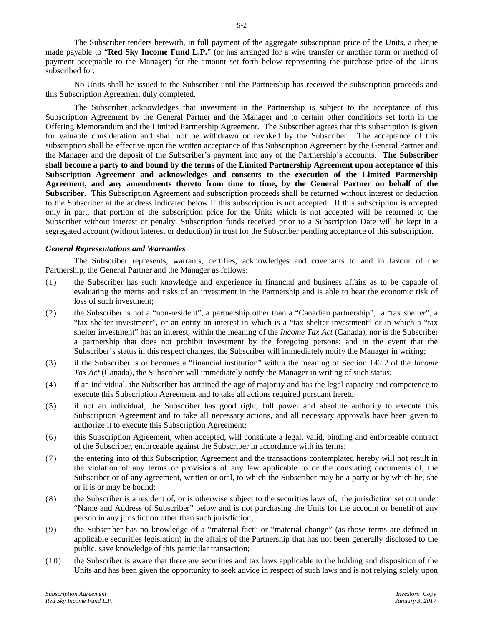The Subscriber tenders herewith, in full payment of the aggregate subscription price of the Units, a cheque made payable to "**Red Sky Income Fund L.P.**" (or has arranged for a wire transfer or another form or method of payment acceptable to the Manager) for the amount set forth below representing the purchase price of the Units subscribed for.

No Units shall be issued to the Subscriber until the Partnership has received the subscription proceeds and this Subscription Agreement duly completed.

The Subscriber acknowledges that investment in the Partnership is subject to the acceptance of this Subscription Agreement by the General Partner and the Manager and to certain other conditions set forth in the Offering Memorandum and the Limited Partnership Agreement. The Subscriber agrees that this subscription is given for valuable consideration and shall not be withdrawn or revoked by the Subscriber. The acceptance of this subscription shall be effective upon the written acceptance of this Subscription Agreement by the General Partner and the Manager and the deposit of the Subscriber's payment into any of the Partnership's accounts. **The Subscriber shall become a party to and bound by the terms of the Limited Partnership Agreement upon acceptance of this Subscription Agreement and acknowledges and consents to the execution of the Limited Partnership Agreement, and any amendments thereto from time to time, by the General Partner on behalf of the Subscriber.** This Subscription Agreement and subscription proceeds shall be returned without interest or deduction to the Subscriber at the address indicated below if this subscription is not accepted. If this subscription is accepted only in part, that portion of the subscription price for the Units which is not accepted will be returned to the Subscriber without interest or penalty. Subscription funds received prior to a Subscription Date will be kept in a segregated account (without interest or deduction) in trust for the Subscriber pending acceptance of this subscription.

#### *General Representations and Warranties*

The Subscriber represents, warrants, certifies, acknowledges and covenants to and in favour of the Partnership, the General Partner and the Manager as follows:

- (1) the Subscriber has such knowledge and experience in financial and business affairs as to be capable of evaluating the merits and risks of an investment in the Partnership and is able to bear the economic risk of loss of such investment;
- (2) the Subscriber is not a "non-resident", a partnership other than a "Canadian partnership", a "tax shelter", a "tax shelter investment", or an entity an interest in which is a "tax shelter investment" or in which a "tax shelter investment" has an interest, within the meaning of the *Income Tax Act* (Canada), nor is the Subscriber a partnership that does not prohibit investment by the foregoing persons; and in the event that the Subscriber's status in this respect changes, the Subscriber will immediately notify the Manager in writing;
- (3) if the Subscriber is or becomes a "financial institution" within the meaning of Section 142.2 of the *Income Tax Act* (Canada), the Subscriber will immediately notify the Manager in writing of such status;
- (4) if an individual, the Subscriber has attained the age of majority and has the legal capacity and competence to execute this Subscription Agreement and to take all actions required pursuant hereto;
- (5) if not an individual, the Subscriber has good right, full power and absolute authority to execute this Subscription Agreement and to take all necessary actions, and all necessary approvals have been given to authorize it to execute this Subscription Agreement;
- (6) this Subscription Agreement, when accepted, will constitute a legal, valid, binding and enforceable contract of the Subscriber, enforceable against the Subscriber in accordance with its terms;
- (7) the entering into of this Subscription Agreement and the transactions contemplated hereby will not result in the violation of any terms or provisions of any law applicable to or the constating documents of, the Subscriber or of any agreement, written or oral, to which the Subscriber may be a party or by which he, she or it is or may be bound;
- (8) the Subscriber is a resident of, or is otherwise subject to the securities laws of, the jurisdiction set out under "Name and Address of Subscriber" below and is not purchasing the Units for the account or benefit of any person in any jurisdiction other than such jurisdiction;
- (9) the Subscriber has no knowledge of a "material fact" or "material change" (as those terms are defined in applicable securities legislation) in the affairs of the Partnership that has not been generally disclosed to the public, save knowledge of this particular transaction;
- (10) the Subscriber is aware that there are securities and tax laws applicable to the holding and disposition of the Units and has been given the opportunity to seek advice in respect of such laws and is not relying solely upon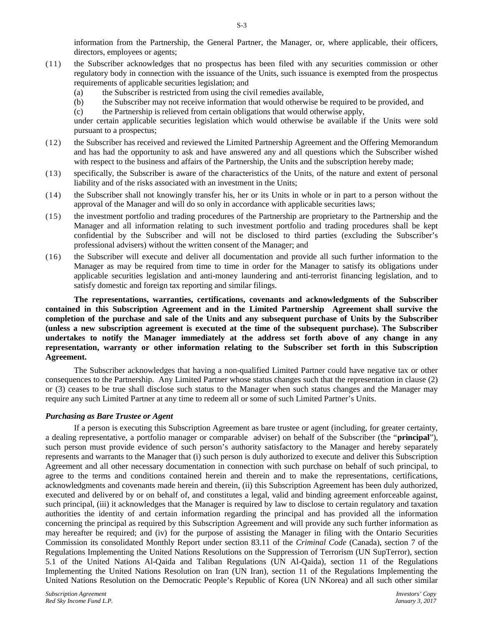information from the Partnership, the General Partner, the Manager, or, where applicable, their officers, directors, employees or agents;

- (11) the Subscriber acknowledges that no prospectus has been filed with any securities commission or other regulatory body in connection with the issuance of the Units, such issuance is exempted from the prospectus requirements of applicable securities legislation; and
	- (a) the Subscriber is restricted from using the civil remedies available,
	- (b) the Subscriber may not receive information that would otherwise be required to be provided, and
	- (c) the Partnership is relieved from certain obligations that would otherwise apply,

under certain applicable securities legislation which would otherwise be available if the Units were sold pursuant to a prospectus;

- (12) the Subscriber has received and reviewed the Limited Partnership Agreement and the Offering Memorandum and has had the opportunity to ask and have answered any and all questions which the Subscriber wished with respect to the business and affairs of the Partnership, the Units and the subscription hereby made;
- (13) specifically, the Subscriber is aware of the characteristics of the Units, of the nature and extent of personal liability and of the risks associated with an investment in the Units;
- (14) the Subscriber shall not knowingly transfer his, her or its Units in whole or in part to a person without the approval of the Manager and will do so only in accordance with applicable securities laws;
- (15) the investment portfolio and trading procedures of the Partnership are proprietary to the Partnership and the Manager and all information relating to such investment portfolio and trading procedures shall be kept confidential by the Subscriber and will not be disclosed to third parties (excluding the Subscriber's professional advisers) without the written consent of the Manager; and
- (16) the Subscriber will execute and deliver all documentation and provide all such further information to the Manager as may be required from time to time in order for the Manager to satisfy its obligations under applicable securities legislation and anti-money laundering and anti-terrorist financing legislation, and to satisfy domestic and foreign tax reporting and similar filings.

**The representations, warranties, certifications, covenants and acknowledgments of the Subscriber contained in this Subscription Agreement and in the Limited Partnership Agreement shall survive the completion of the purchase and sale of the Units and any subsequent purchase of Units by the Subscriber (unless a new subscription agreement is executed at the time of the subsequent purchase). The Subscriber undertakes to notify the Manager immediately at the address set forth above of any change in any representation, warranty or other information relating to the Subscriber set forth in this Subscription Agreement.**

The Subscriber acknowledges that having a non-qualified Limited Partner could have negative tax or other consequences to the Partnership. Any Limited Partner whose status changes such that the representation in clause (2) or (3) ceases to be true shall disclose such status to the Manager when such status changes and the Manager may require any such Limited Partner at any time to redeem all or some of such Limited Partner's Units.

### *Purchasing as Bare Trustee or Agent*

If a person is executing this Subscription Agreement as bare trustee or agent (including, for greater certainty, a dealing representative, a portfolio manager or comparable adviser) on behalf of the Subscriber (the "**principal**"), such person must provide evidence of such person's authority satisfactory to the Manager and hereby separately represents and warrants to the Manager that (i) such person is duly authorized to execute and deliver this Subscription Agreement and all other necessary documentation in connection with such purchase on behalf of such principal, to agree to the terms and conditions contained herein and therein and to make the representations, certifications, acknowledgments and covenants made herein and therein, (ii) this Subscription Agreement has been duly authorized, executed and delivered by or on behalf of, and constitutes a legal, valid and binding agreement enforceable against, such principal, (iii) it acknowledges that the Manager is required by law to disclose to certain regulatory and taxation authorities the identity of and certain information regarding the principal and has provided all the information concerning the principal as required by this Subscription Agreement and will provide any such further information as may hereafter be required; and (iv) for the purpose of assisting the Manager in filing with the Ontario Securities Commission its consolidated Monthly Report under section 83.11 of the *Criminal Code* (Canada), section 7 of the Regulations Implementing the United Nations Resolutions on the Suppression of Terrorism (UN SupTerror), section 5.1 of the United Nations Al-Qaida and Taliban Regulations (UN Al-Qaida), section 11 of the Regulations Implementing the United Nations Resolution on Iran (UN Iran), section 11 of the Regulations Implementing the United Nations Resolution on the Democratic People's Republic of Korea (UN NKorea) and all such other similar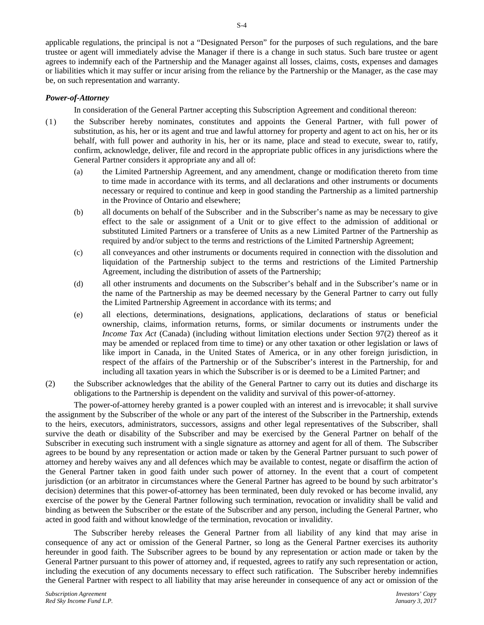applicable regulations, the principal is not a "Designated Person" for the purposes of such regulations, and the bare trustee or agent will immediately advise the Manager if there is a change in such status. Such bare trustee or agent agrees to indemnify each of the Partnership and the Manager against all losses, claims, costs, expenses and damages or liabilities which it may suffer or incur arising from the reliance by the Partnership or the Manager, as the case may be, on such representation and warranty.

### *Power-of-Attorney*

In consideration of the General Partner accepting this Subscription Agreement and conditional thereon:

- (1) the Subscriber hereby nominates, constitutes and appoints the General Partner, with full power of substitution, as his, her or its agent and true and lawful attorney for property and agent to act on his, her or its behalf, with full power and authority in his, her or its name, place and stead to execute, swear to, ratify, confirm, acknowledge, deliver, file and record in the appropriate public offices in any jurisdictions where the General Partner considers it appropriate any and all of:
	- (a) the Limited Partnership Agreement, and any amendment, change or modification thereto from time to time made in accordance with its terms, and all declarations and other instruments or documents necessary or required to continue and keep in good standing the Partnership as a limited partnership in the Province of Ontario and elsewhere;
	- (b) all documents on behalf of the Subscriber and in the Subscriber's name as may be necessary to give effect to the sale or assignment of a Unit or to give effect to the admission of additional or substituted Limited Partners or a transferee of Units as a new Limited Partner of the Partnership as required by and/or subject to the terms and restrictions of the Limited Partnership Agreement;
	- (c) all conveyances and other instruments or documents required in connection with the dissolution and liquidation of the Partnership subject to the terms and restrictions of the Limited Partnership Agreement, including the distribution of assets of the Partnership;
	- (d) all other instruments and documents on the Subscriber's behalf and in the Subscriber's name or in the name of the Partnership as may be deemed necessary by the General Partner to carry out fully the Limited Partnership Agreement in accordance with its terms; and
	- (e) all elections, determinations, designations, applications, declarations of status or beneficial ownership, claims, information returns, forms, or similar documents or instruments under the *Income Tax Act* (Canada) (including without limitation elections under Section 97(2) thereof as it may be amended or replaced from time to time) or any other taxation or other legislation or laws of like import in Canada, in the United States of America, or in any other foreign jurisdiction, in respect of the affairs of the Partnership or of the Subscriber's interest in the Partnership, for and including all taxation years in which the Subscriber is or is deemed to be a Limited Partner; and
- (2) the Subscriber acknowledges that the ability of the General Partner to carry out its duties and discharge its obligations to the Partnership is dependent on the validity and survival of this power-of-attorney.

The power-of-attorney hereby granted is a power coupled with an interest and is irrevocable; it shall survive the assignment by the Subscriber of the whole or any part of the interest of the Subscriber in the Partnership, extends to the heirs, executors, administrators, successors, assigns and other legal representatives of the Subscriber, shall survive the death or disability of the Subscriber and may be exercised by the General Partner on behalf of the Subscriber in executing such instrument with a single signature as attorney and agent for all of them. The Subscriber agrees to be bound by any representation or action made or taken by the General Partner pursuant to such power of attorney and hereby waives any and all defences which may be available to contest, negate or disaffirm the action of the General Partner taken in good faith under such power of attorney. In the event that a court of competent jurisdiction (or an arbitrator in circumstances where the General Partner has agreed to be bound by such arbitrator's decision) determines that this power-of-attorney has been terminated, been duly revoked or has become invalid, any exercise of the power by the General Partner following such termination, revocation or invalidity shall be valid and binding as between the Subscriber or the estate of the Subscriber and any person, including the General Partner, who acted in good faith and without knowledge of the termination, revocation or invalidity.

The Subscriber hereby releases the General Partner from all liability of any kind that may arise in consequence of any act or omission of the General Partner, so long as the General Partner exercises its authority hereunder in good faith. The Subscriber agrees to be bound by any representation or action made or taken by the General Partner pursuant to this power of attorney and, if requested, agrees to ratify any such representation or action, including the execution of any documents necessary to effect such ratification. The Subscriber hereby indemnifies the General Partner with respect to all liability that may arise hereunder in consequence of any act or omission of the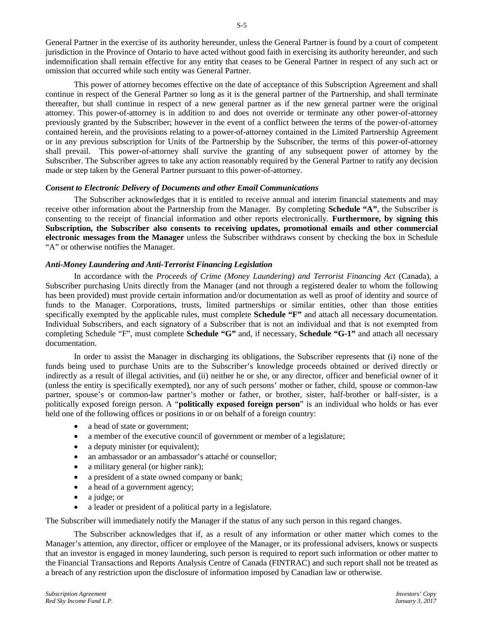General Partner in the exercise of its authority hereunder, unless the General Partner is found by a court of competent jurisdiction in the Province of Ontario to have acted without good faith in exercising its authority hereunder, and such indemnification shall remain effective for any entity that ceases to be General Partner in respect of any such act or omission that occurred while such entity was General Partner.

This power of attorney becomes effective on the date of acceptance of this Subscription Agreement and shall continue in respect of the General Partner so long as it is the general partner of the Partnership, and shall terminate thereafter, but shall continue in respect of a new general partner as if the new general partner were the original attorney. This power-of-attorney is in addition to and does not override or terminate any other power-of-attorney previously granted by the Subscriber; however in the event of a conflict between the terms of the power-of-attorney contained herein, and the provisions relating to a power-of-attorney contained in the Limited Partnership Agreement or in any previous subscription for Units of the Partnership by the Subscriber, the terms of this power-of-attorney shall prevail. This power-of-attorney shall survive the granting of any subsequent power of attorney by the Subscriber. The Subscriber agrees to take any action reasonably required by the General Partner to ratify any decision made or step taken by the General Partner pursuant to this power-of-attorney.

### *Consent to Electronic Delivery of Documents and other Email Communications*

The Subscriber acknowledges that it is entitled to receive annual and interim financial statements and may receive other information about the Partnership from the Manager. By completing **Schedule "A"**, the Subscriber is consenting to the receipt of financial information and other reports electronically. **Furthermore, by signing this Subscription, the Subscriber also consents to receiving updates, promotional emails and other commercial electronic messages from the Manager** unless the Subscriber withdraws consent by checking the box in Schedule "A" or otherwise notifies the Manager.

#### *Anti-Money Laundering and Anti-Terrorist Financing Legislation*

In accordance with the *Proceeds of Crime (Money Laundering) and Terrorist Financing Act* (Canada), a Subscriber purchasing Units directly from the Manager (and not through a registered dealer to whom the following has been provided) must provide certain information and/or documentation as well as proof of identity and source of funds to the Manager. Corporations, trusts, limited partnerships or similar entities, other than those entities specifically exempted by the applicable rules, must complete **Schedule "F"** and attach all necessary documentation. Individual Subscribers, and each signatory of a Subscriber that is not an individual and that is not exempted from completing Schedule "F", must complete **Schedule "G"** and, if necessary, **Schedule "G-1"** and attach all necessary documentation.

In order to assist the Manager in discharging its obligations, the Subscriber represents that (i) none of the funds being used to purchase Units are to the Subscriber's knowledge proceeds obtained or derived directly or indirectly as a result of illegal activities, and (ii) neither he or she, or any director, officer and beneficial owner of it (unless the entity is specifically exempted), nor any of such persons' mother or father, child, spouse or common-law partner, spouse's or common-law partner's mother or father, or brother, sister, half-brother or half-sister, is a politically exposed foreign person. A "**politically exposed foreign person**" is an individual who holds or has ever held one of the following offices or positions in or on behalf of a foreign country:

- a head of state or government;
- a member of the executive council of government or member of a legislature;
- a deputy minister (or equivalent);
- an ambassador or an ambassador's attaché or counsellor;
- a military general (or higher rank);
- a president of a state owned company or bank;
- a head of a government agency;
- a judge; or
- a leader or president of a political party in a legislature.

The Subscriber will immediately notify the Manager if the status of any such person in this regard changes.

The Subscriber acknowledges that if, as a result of any information or other matter which comes to the Manager's attention, any director, officer or employee of the Manager, or its professional advisers, knows or suspects that an investor is engaged in money laundering, such person is required to report such information or other matter to the Financial Transactions and Reports Analysis Centre of Canada (FINTRAC) and such report shall not be treated as a breach of any restriction upon the disclosure of information imposed by Canadian law or otherwise.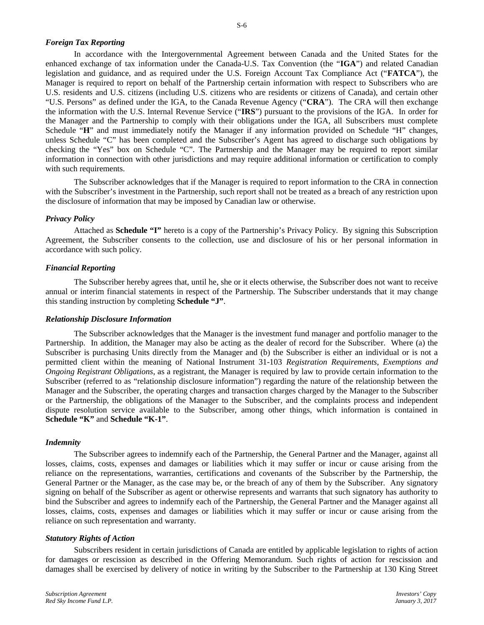#### *Foreign Tax Reporting*

In accordance with the Intergovernmental Agreement between Canada and the United States for the enhanced exchange of tax information under the Canada-U.S. Tax Convention (the "**IGA**") and related Canadian legislation and guidance, and as required under the U.S. Foreign Account Tax Compliance Act ("**FATCA**"), the Manager is required to report on behalf of the Partnership certain information with respect to Subscribers who are U.S. residents and U.S. citizens (including U.S. citizens who are residents or citizens of Canada), and certain other "U.S. Persons" as defined under the IGA, to the Canada Revenue Agency ("**CRA**"). The CRA will then exchange the information with the U.S. Internal Revenue Service ("**IRS**") pursuant to the provisions of the IGA. In order for the Manager and the Partnership to comply with their obligations under the IGA, all Subscribers must complete Schedule "H" and must immediately notify the Manager if any information provided on Schedule "H" changes, unless Schedule "C" has been completed and the Subscriber's Agent has agreed to discharge such obligations by checking the "Yes" box on Schedule "C". The Partnership and the Manager may be required to report similar information in connection with other jurisdictions and may require additional information or certification to comply with such requirements.

The Subscriber acknowledges that if the Manager is required to report information to the CRA in connection with the Subscriber's investment in the Partnership, such report shall not be treated as a breach of any restriction upon the disclosure of information that may be imposed by Canadian law or otherwise.

#### *Privacy Policy*

Attached as **Schedule "I"** hereto is a copy of the Partnership's Privacy Policy. By signing this Subscription Agreement, the Subscriber consents to the collection, use and disclosure of his or her personal information in accordance with such policy.

#### *Financial Reporting*

The Subscriber hereby agrees that, until he, she or it elects otherwise, the Subscriber does not want to receive annual or interim financial statements in respect of the Partnership. The Subscriber understands that it may change this standing instruction by completing **Schedule "J"**.

#### *Relationship Disclosure Information*

The Subscriber acknowledges that the Manager is the investment fund manager and portfolio manager to the Partnership. In addition, the Manager may also be acting as the dealer of record for the Subscriber. Where (a) the Subscriber is purchasing Units directly from the Manager and (b) the Subscriber is either an individual or is not a permitted client within the meaning of National Instrument 31-103 *Registration Requirements, Exemptions and Ongoing Registrant Obligations*, as a registrant, the Manager is required by law to provide certain information to the Subscriber (referred to as "relationship disclosure information") regarding the nature of the relationship between the Manager and the Subscriber, the operating charges and transaction charges charged by the Manager to the Subscriber or the Partnership, the obligations of the Manager to the Subscriber, and the complaints process and independent dispute resolution service available to the Subscriber, among other things, which information is contained in **Schedule "K"** and **Schedule "K-1"**.

#### *Indemnity*

The Subscriber agrees to indemnify each of the Partnership, the General Partner and the Manager, against all losses, claims, costs, expenses and damages or liabilities which it may suffer or incur or cause arising from the reliance on the representations, warranties, certifications and covenants of the Subscriber by the Partnership, the General Partner or the Manager, as the case may be, or the breach of any of them by the Subscriber. Any signatory signing on behalf of the Subscriber as agent or otherwise represents and warrants that such signatory has authority to bind the Subscriber and agrees to indemnify each of the Partnership, the General Partner and the Manager against all losses, claims, costs, expenses and damages or liabilities which it may suffer or incur or cause arising from the reliance on such representation and warranty.

#### *Statutory Rights of Action*

Subscribers resident in certain jurisdictions of Canada are entitled by applicable legislation to rights of action for damages or rescission as described in the Offering Memorandum. Such rights of action for rescission and damages shall be exercised by delivery of notice in writing by the Subscriber to the Partnership at 130 King Street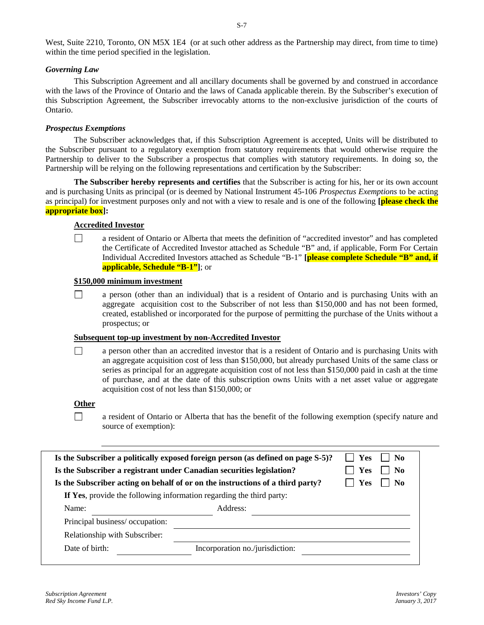West, Suite 2210, Toronto, ON M5X 1E4 (or at such other address as the Partnership may direct, from time to time) within the time period specified in the legislation.

### *Governing Law*

This Subscription Agreement and all ancillary documents shall be governed by and construed in accordance with the laws of the Province of Ontario and the laws of Canada applicable therein. By the Subscriber's execution of this Subscription Agreement, the Subscriber irrevocably attorns to the non-exclusive jurisdiction of the courts of Ontario.

### *Prospectus Exemptions*

The Subscriber acknowledges that, if this Subscription Agreement is accepted, Units will be distributed to the Subscriber pursuant to a regulatory exemption from statutory requirements that would otherwise require the Partnership to deliver to the Subscriber a prospectus that complies with statutory requirements. In doing so, the Partnership will be relying on the following representations and certification by the Subscriber:

**The Subscriber hereby represents and certifies** that the Subscriber is acting for his, her or its own account and is purchasing Units as principal (or is deemed by National Instrument 45-106 *Prospectus Exemptions* to be acting as principal) for investment purposes only and not with a view to resale and is one of the following **[please check the appropriate box]:**

# **Accredited Investor**

 $\Box$ a resident of Ontario or Alberta that meets the definition of "accredited investor" and has completed the Certificate of Accredited Investor attached as Schedule "B" and, if applicable, Form For Certain Individual Accredited Investors attached as Schedule "B-1" **[please complete Schedule "B" and, if applicable, Schedule "B-1"]**; or

### **\$150,000 minimum investment**

 $\Box$ a person (other than an individual) that is a resident of Ontario and is purchasing Units with an aggregate acquisition cost to the Subscriber of not less than \$150,000 and has not been formed, created, established or incorporated for the purpose of permitting the purchase of the Units without a prospectus; or

### **Subsequent top-up investment by non-Accredited Investor**

 $\Box$ a person other than an accredited investor that is a resident of Ontario and is purchasing Units with an aggregate acquisition cost of less than \$150,000, but already purchased Units of the same class or series as principal for an aggregate acquisition cost of not less than \$150,000 paid in cash at the time of purchase, and at the date of this subscription owns Units with a net asset value or aggregate acquisition cost of not less than \$150,000; or

### **Other**

П a resident of Ontario or Alberta that has the benefit of the following exemption (specify nature and source of exemption):

| Is the Subscriber a politically exposed foreign person (as defined on page S-5)? | Yes<br>  No                                                          |  |
|----------------------------------------------------------------------------------|----------------------------------------------------------------------|--|
| Is the Subscriber a registrant under Canadian securities legislation?            | <b>Yes</b><br>- No                                                   |  |
| Is the Subscriber acting on behalf of or on the instructions of a third party?   | - No<br>Yes                                                          |  |
|                                                                                  | If Yes, provide the following information regarding the third party: |  |
| Name:                                                                            | Address:                                                             |  |
| Principal business/occupation:                                                   |                                                                      |  |
| Relationship with Subscriber:                                                    |                                                                      |  |
| Date of birth:                                                                   | Incorporation no./jurisdiction:                                      |  |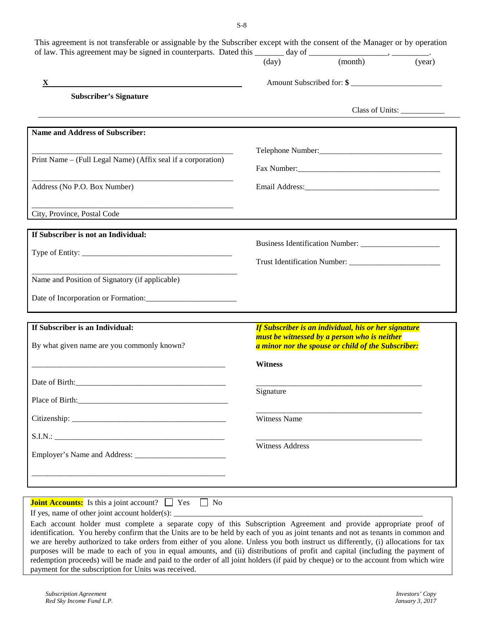| of law. This agreement may be signed in counterparts. Dated this $\frac{1}{(day)}$ day of $\frac{1}{(month)}$ .                                                                                                                |                        |                                                                                                                                                                                                                               | $\overline{(year)}$           |
|--------------------------------------------------------------------------------------------------------------------------------------------------------------------------------------------------------------------------------|------------------------|-------------------------------------------------------------------------------------------------------------------------------------------------------------------------------------------------------------------------------|-------------------------------|
| X                                                                                                                                                                                                                              |                        | Amount Subscribed for: \$                                                                                                                                                                                                     |                               |
| <b>Subscriber's Signature</b>                                                                                                                                                                                                  |                        |                                                                                                                                                                                                                               |                               |
|                                                                                                                                                                                                                                |                        |                                                                                                                                                                                                                               | Class of Units: _____________ |
| <b>Name and Address of Subscriber:</b>                                                                                                                                                                                         |                        |                                                                                                                                                                                                                               |                               |
|                                                                                                                                                                                                                                |                        |                                                                                                                                                                                                                               |                               |
| Print Name – (Full Legal Name) (Affix seal if a corporation)                                                                                                                                                                   |                        |                                                                                                                                                                                                                               |                               |
| Address (No P.O. Box Number)                                                                                                                                                                                                   |                        | Email Address: 2008 and 2008 and 2008 and 2008 and 2008 and 2008 and 2008 and 2008 and 2008 and 2008 and 2008 and 2008 and 2008 and 2008 and 2008 and 2008 and 2008 and 2008 and 2008 and 2008 and 2008 and 2008 and 2008 and |                               |
|                                                                                                                                                                                                                                |                        |                                                                                                                                                                                                                               |                               |
| City, Province, Postal Code                                                                                                                                                                                                    |                        |                                                                                                                                                                                                                               |                               |
| If Subscriber is not an Individual:                                                                                                                                                                                            |                        |                                                                                                                                                                                                                               |                               |
|                                                                                                                                                                                                                                |                        |                                                                                                                                                                                                                               |                               |
|                                                                                                                                                                                                                                |                        |                                                                                                                                                                                                                               |                               |
| Name and Position of Signatory (if applicable)                                                                                                                                                                                 |                        |                                                                                                                                                                                                                               |                               |
|                                                                                                                                                                                                                                |                        |                                                                                                                                                                                                                               |                               |
| If Subscriber is an Individual:                                                                                                                                                                                                |                        | If Subscriber is an individual, his or her signature                                                                                                                                                                          |                               |
| By what given name are you commonly known?                                                                                                                                                                                     |                        | must be witnessed by a person who is neither<br>a minor nor the spouse or child of the Subscriber:                                                                                                                            |                               |
|                                                                                                                                                                                                                                | <b>Witness</b>         |                                                                                                                                                                                                                               |                               |
|                                                                                                                                                                                                                                |                        |                                                                                                                                                                                                                               |                               |
| Place of Birth: 2008 and 2008 and 2008 and 2008 and 2008 and 2008 and 2008 and 2008 and 2008 and 2008 and 2008 and 2008 and 2008 and 2008 and 2008 and 2008 and 2008 and 2008 and 2008 and 2008 and 2008 and 2008 and 2008 and | Signature              |                                                                                                                                                                                                                               |                               |
|                                                                                                                                                                                                                                | Witness Name           |                                                                                                                                                                                                                               |                               |
|                                                                                                                                                                                                                                |                        |                                                                                                                                                                                                                               |                               |
|                                                                                                                                                                                                                                | <b>Witness Address</b> |                                                                                                                                                                                                                               |                               |
|                                                                                                                                                                                                                                |                        |                                                                                                                                                                                                                               |                               |
|                                                                                                                                                                                                                                |                        |                                                                                                                                                                                                                               |                               |

Each account holder must complete a separate copy of this Subscription Agreement and provide appropriate proof of identification. You hereby confirm that the Units are to be held by each of you as joint tenants and not as tenants in common and we are hereby authorized to take orders from either of you alone. Unless you both instruct us differently, (i) allocations for tax purposes will be made to each of you in equal amounts, and (ii) distributions of profit and capital (including the payment of redemption proceeds) will be made and paid to the order of all joint holders (if paid by cheque) or to the account from which wire payment for the subscription for Units was received.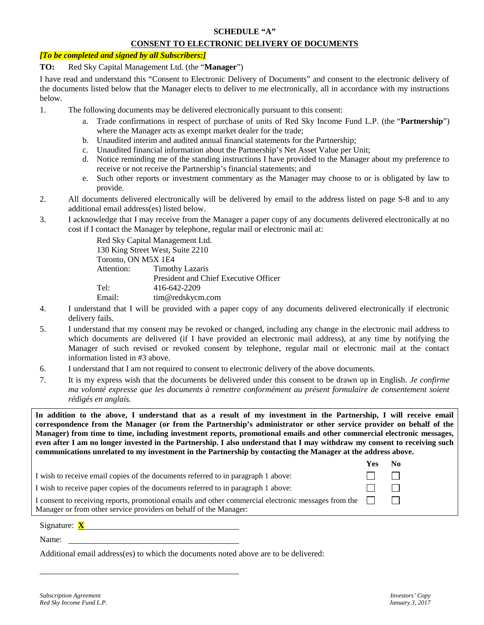### **SCHEDULE "A"**

# **CONSENT TO ELECTRONIC DELIVERY OF DOCUMENTS**

### *[To be completed and signed by all Subscribers:]*

### **TO:** Red Sky Capital Management Ltd. (the "**Manager**")

I have read and understand this "Consent to Electronic Delivery of Documents" and consent to the electronic delivery of the documents listed below that the Manager elects to deliver to me electronically, all in accordance with my instructions below.

- 1. The following documents may be delivered electronically pursuant to this consent:
	- a. Trade confirmations in respect of purchase of units of Red Sky Income Fund L.P. (the "**Partnership**") where the Manager acts as exempt market dealer for the trade;
	- b. Unaudited interim and audited annual financial statements for the Partnership;
	- c. Unaudited financial information about the Partnership's Net Asset Value per Unit;
	- d. Notice reminding me of the standing instructions I have provided to the Manager about my preference to receive or not receive the Partnership's financial statements; and
	- e. Such other reports or investment commentary as the Manager may choose to or is obligated by law to provide.
- 2. All documents delivered electronically will be delivered by email to the address listed on page S-8 and to any additional email address(es) listed below.
- 3. I acknowledge that I may receive from the Manager a paper copy of any documents delivered electronically at no cost if I contact the Manager by telephone, regular mail or electronic mail at:

Red Sky Capital Management Ltd. 130 King Street West, Suite 2210 Toronto, ON M5X 1E4 Attention: Timothy Lazaris President and Chief Executive Officer Tel: 416-642-2209 Email: tim@redskycm.com

- 4. I understand that I will be provided with a paper copy of any documents delivered electronically if electronic delivery fails.
- 5. I understand that my consent may be revoked or changed, including any change in the electronic mail address to which documents are delivered (if I have provided an electronic mail address), at any time by notifying the Manager of such revised or revoked consent by telephone, regular mail or electronic mail at the contact information listed in #3 above.
- 6. I understand that I am not required to consent to electronic delivery of the above documents.
- 7. It is my express wish that the documents be delivered under this consent to be drawn up in English. *Je confirme ma volonté expresse que les documents à remettre conformément au présent formulaire de consentement soient rédigés en anglais.*

**In addition to the above, I understand that as a result of my investment in the Partnership, I will receive email correspondence from the Manager (or from the Partnership's administrator or other service provider on behalf of the Manager) from time to time, including investment reports, promotional emails and other commercial electronic messages, even after I am no longer invested in the Partnership. I also understand that I may withdraw my consent to receiving such communications unrelated to my investment in the Partnership by contacting the Manager at the address above.**

| I wish to receive email copies of the documents referred to in paragraph 1 above:<br>I wish to receive paper copies of the documents referred to in paragraph 1 above:           |  |
|----------------------------------------------------------------------------------------------------------------------------------------------------------------------------------|--|
|                                                                                                                                                                                  |  |
|                                                                                                                                                                                  |  |
| I consent to receiving reports, promotional emails and other commercial electronic messages from the $\Box$<br>Manager or from other service providers on behalf of the Manager: |  |

Signature: **X**

Name:

Additional email address(es) to which the documents noted above are to be delivered: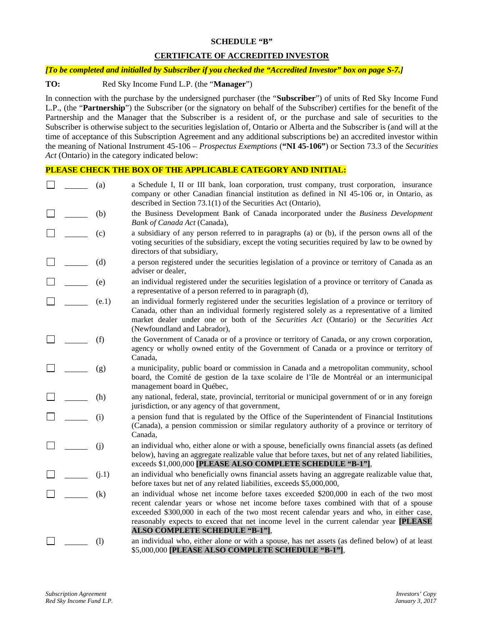### **SCHEDULE "B"**

# **CERTIFICATE OF ACCREDITED INVESTOR**

### *[To be completed and initialled by Subscriber if you checked the "Accredited Investor" box on page S-7.]*

### **TO:** Red Sky Income Fund L.P. (the "**Manager**")

In connection with the purchase by the undersigned purchaser (the "**Subscriber**") of units of Red Sky Income Fund L.P., (the "**Partnership**") the Subscriber (or the signatory on behalf of the Subscriber) certifies for the benefit of the Partnership and the Manager that the Subscriber is a resident of, or the purchase and sale of securities to the Subscriber is otherwise subject to the securities legislation of, Ontario or Alberta and the Subscriber is (and will at the time of acceptance of this Subscription Agreement and any additional subscriptions be) an accredited investor within the meaning of National Instrument 45-106 – *Prospectus Exemptions* (**"NI 45-106"**) or Section 73.3 of the *Securities Act* (Ontario) in the category indicated below:

# **PLEASE CHECK THE BOX OF THE APPLICABLE CATEGORY AND INITIAL:**

|  | (a)   | a Schedule I, II or III bank, loan corporation, trust company, trust corporation, insurance<br>company or other Canadian financial institution as defined in NI 45-106 or, in Ontario, as<br>described in Section 73.1(1) of the Securities Act (Ontario),                                                                                                                                                       |
|--|-------|------------------------------------------------------------------------------------------------------------------------------------------------------------------------------------------------------------------------------------------------------------------------------------------------------------------------------------------------------------------------------------------------------------------|
|  | (b)   | the Business Development Bank of Canada incorporated under the Business Development<br>Bank of Canada Act (Canada),                                                                                                                                                                                                                                                                                              |
|  | (c)   | a subsidiary of any person referred to in paragraphs (a) or (b), if the person owns all of the<br>voting securities of the subsidiary, except the voting securities required by law to be owned by<br>directors of that subsidiary,                                                                                                                                                                              |
|  | (d)   | a person registered under the securities legislation of a province or territory of Canada as an<br>adviser or dealer,                                                                                                                                                                                                                                                                                            |
|  | (e)   | an individual registered under the securities legislation of a province or territory of Canada as<br>a representative of a person referred to in paragraph (d),                                                                                                                                                                                                                                                  |
|  | (e.1) | an individual formerly registered under the securities legislation of a province or territory of<br>Canada, other than an individual formerly registered solely as a representative of a limited<br>market dealer under one or both of the Securities Act (Ontario) or the Securities Act<br>(Newfoundland and Labrador),                                                                                        |
|  | (f)   | the Government of Canada or of a province or territory of Canada, or any crown corporation,<br>agency or wholly owned entity of the Government of Canada or a province or territory of<br>Canada,                                                                                                                                                                                                                |
|  | (g)   | a municipality, public board or commission in Canada and a metropolitan community, school<br>board, the Comité de gestion de la taxe scolaire de l'île de Montréal or an intermunicipal<br>management board in Québec,                                                                                                                                                                                           |
|  | (h)   | any national, federal, state, provincial, territorial or municipal government of or in any foreign<br>jurisdiction, or any agency of that government,                                                                                                                                                                                                                                                            |
|  | (i)   | a pension fund that is regulated by the Office of the Superintendent of Financial Institutions<br>(Canada), a pension commission or similar regulatory authority of a province or territory of<br>Canada,                                                                                                                                                                                                        |
|  | (j)   | an individual who, either alone or with a spouse, beneficially owns financial assets (as defined<br>below), having an aggregate realizable value that before taxes, but net of any related liabilities,<br>exceeds \$1,000,000 [PLEASE ALSO COMPLETE SCHEDULE "B-1"],                                                                                                                                            |
|  | (i.1) | an individual who beneficially owns financial assets having an aggregate realizable value that,<br>before taxes but net of any related liabilities, exceeds \$5,000,000,                                                                                                                                                                                                                                         |
|  | (k)   | an individual whose net income before taxes exceeded \$200,000 in each of the two most<br>recent calendar years or whose net income before taxes combined with that of a spouse<br>exceeded \$300,000 in each of the two most recent calendar years and who, in either case,<br>reasonably expects to exceed that net income level in the current calendar year [PLEASE<br><b>ALSO COMPLETE SCHEDULE "B-1"],</b> |
|  | (1)   | an individual who, either alone or with a spouse, has net assets (as defined below) of at least<br>\$5,000,000 [PLEASE ALSO COMPLETE SCHEDULE "B-1"],                                                                                                                                                                                                                                                            |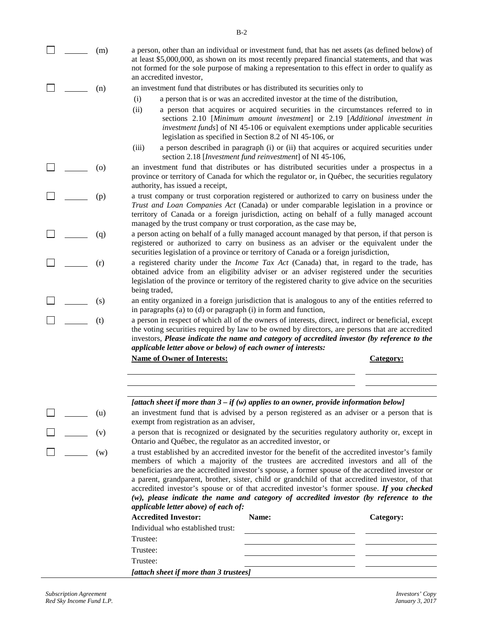$\Box$ 

 $\Box$ 

 $\Box$ 

П

П

П

П

 $\Box$ 

П

- (m) a person, other than an individual or investment fund, that has net assets (as defined below) of at least \$5,000,000, as shown on its most recently prepared financial statements, and that was not formed for the sole purpose of making a representation to this effect in order to qualify as an accredited investor,
- (n) an investment fund that distributes or has distributed its securities only to
	- (i) a person that is or was an accredited investor at the time of the distribution,
	- (ii) a person that acquires or acquired securities in the circumstances referred to in sections 2.10 [*Minimum amount investment*] or 2.19 [*Additional investment in investment funds*] of NI 45-106 or equivalent exemptions under applicable securities legislation as specified in Section 8.2 of NI 45-106, or
	- (iii) a person described in paragraph (i) or (ii) that acquires or acquired securities under section 2.18 [*Investment fund reinvestment*] of NI 45-106,
- (o) an investment fund that distributes or has distributed securities under a prospectus in a province or territory of Canada for which the regulator or, in Québec, the securities regulatory authority, has issued a receipt,
- (p) a trust company or trust corporation registered or authorized to carry on business under the *Trust and Loan Companies Act* (Canada) or under comparable legislation in a province or territory of Canada or a foreign jurisdiction, acting on behalf of a fully managed account managed by the trust company or trust corporation, as the case may be,
- (q) a person acting on behalf of a fully managed account managed by that person, if that person is registered or authorized to carry on business as an adviser or the equivalent under the securities legislation of a province or territory of Canada or a foreign jurisdiction,
- (r) a registered charity under the *Income Tax Act* (Canada) that, in regard to the trade, has obtained advice from an eligibility adviser or an adviser registered under the securities legislation of the province or territory of the registered charity to give advice on the securities being traded,
- (s) an entity organized in a foreign jurisdiction that is analogous to any of the entities referred to in paragraphs (a) to (d) or paragraph (i) in form and function,
- (t) a person in respect of which all of the owners of interests, direct, indirect or beneficial, except the voting securities required by law to be owned by directors, are persons that are accredited investors, *Please indicate the name and category of accredited investor (by reference to the applicable letter above or below) of each owner of interests:*

**Name of Owner of Interests: Category:**

|     | [attach sheet if more than $3 - if(w)$ applies to an owner, provide information below]      |
|-----|---------------------------------------------------------------------------------------------|
| (u) | an investment fund that is advised by a person registered as an adviser or a person that is |
|     | exempt from registration as an adviser,                                                     |

(v) a person that is recognized or designated by the securities regulatory authority or, except in Ontario and Québec, the regulator as an accredited investor, or

(w) a trust established by an accredited investor for the benefit of the accredited investor's family members of which a majority of the trustees are accredited investors and all of the beneficiaries are the accredited investor's spouse, a former spouse of the accredited investor or a parent, grandparent, brother, sister, child or grandchild of that accredited investor, of that accredited investor's spouse or of that accredited investor's former spouse. *If you checked (w), please indicate the name and category of accredited investor (by reference to the applicable letter above) of each of:*

| <b>Accredited Investor:</b>            | Name: | Category: |  |
|----------------------------------------|-------|-----------|--|
| Individual who established trust:      |       |           |  |
| Trustee:                               |       |           |  |
| Trustee:                               |       |           |  |
| Trustee:                               |       |           |  |
| [attach sheet if more than 3 trustees] |       |           |  |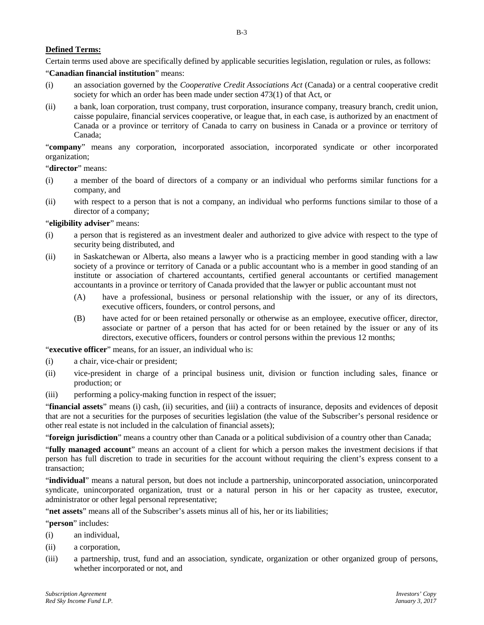### **Defined Terms:**

Certain terms used above are specifically defined by applicable securities legislation, regulation or rules, as follows:

### "**Canadian financial institution**" means:

- (i) an association governed by the *Cooperative Credit Associations Act* (Canada) or a central cooperative credit society for which an order has been made under section 473(1) of that Act, or
- (ii) a bank, loan corporation, trust company, trust corporation, insurance company, treasury branch, credit union, caisse populaire, financial services cooperative, or league that, in each case, is authorized by an enactment of Canada or a province or territory of Canada to carry on business in Canada or a province or territory of Canada;

"**company**" means any corporation, incorporated association, incorporated syndicate or other incorporated organization;

"**director**" means:

- (i) a member of the board of directors of a company or an individual who performs similar functions for a company, and
- (ii) with respect to a person that is not a company, an individual who performs functions similar to those of a director of a company;

#### "**eligibility adviser**" means:

- (i) a person that is registered as an investment dealer and authorized to give advice with respect to the type of security being distributed, and
- (ii) in Saskatchewan or Alberta, also means a lawyer who is a practicing member in good standing with a law society of a province or territory of Canada or a public accountant who is a member in good standing of an institute or association of chartered accountants, certified general accountants or certified management accountants in a province or territory of Canada provided that the lawyer or public accountant must not
	- (A) have a professional, business or personal relationship with the issuer, or any of its directors, executive officers, founders, or control persons, and
	- (B) have acted for or been retained personally or otherwise as an employee, executive officer, director, associate or partner of a person that has acted for or been retained by the issuer or any of its directors, executive officers, founders or control persons within the previous 12 months;

"**executive officer**" means, for an issuer, an individual who is:

- (i) a chair, vice-chair or president;
- (ii) vice-president in charge of a principal business unit, division or function including sales, finance or production; or
- (iii) performing a policy-making function in respect of the issuer;

"**financial assets**" means (i) cash, (ii) securities, and (iii) a contracts of insurance, deposits and evidences of deposit that are not a securities for the purposes of securities legislation (the value of the Subscriber's personal residence or other real estate is not included in the calculation of financial assets);

"**foreign jurisdiction**" means a country other than Canada or a political subdivision of a country other than Canada;

"**fully managed account**" means an account of a client for which a person makes the investment decisions if that person has full discretion to trade in securities for the account without requiring the client's express consent to a transaction;

"**individual**" means a natural person, but does not include a partnership, unincorporated association, unincorporated syndicate, unincorporated organization, trust or a natural person in his or her capacity as trustee, executor, administrator or other legal personal representative;

"**net assets**" means all of the Subscriber's assets minus all of his, her or its liabilities;

"**person**" includes:

- (i) an individual,
- (ii) a corporation,
- (iii) a partnership, trust, fund and an association, syndicate, organization or other organized group of persons, whether incorporated or not, and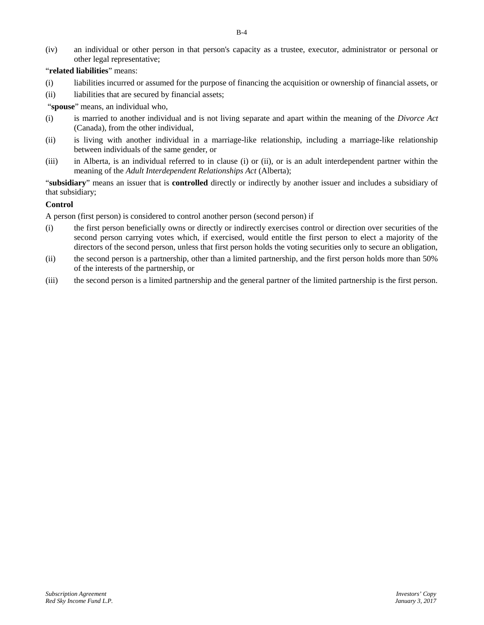(iv) an individual or other person in that person's capacity as a trustee, executor, administrator or personal or other legal representative;

## "**related liabilities**" means:

- (i) liabilities incurred or assumed for the purpose of financing the acquisition or ownership of financial assets, or
- (ii) liabilities that are secured by financial assets;

"**spouse**" means, an individual who,

- (i) is married to another individual and is not living separate and apart within the meaning of the *Divorce Act* (Canada), from the other individual,
- (ii) is living with another individual in a marriage-like relationship, including a marriage-like relationship between individuals of the same gender, or
- (iii) in Alberta, is an individual referred to in clause (i) or (ii), or is an adult interdependent partner within the meaning of the *Adult Interdependent Relationships Act* (Alberta);

"**subsidiary**" means an issuer that is **controlled** directly or indirectly by another issuer and includes a subsidiary of that subsidiary;

## **Control**

A person (first person) is considered to control another person (second person) if

- (i) the first person beneficially owns or directly or indirectly exercises control or direction over securities of the second person carrying votes which, if exercised, would entitle the first person to elect a majority of the directors of the second person, unless that first person holds the voting securities only to secure an obligation,
- (ii) the second person is a partnership, other than a limited partnership, and the first person holds more than 50% of the interests of the partnership, or
- (iii) the second person is a limited partnership and the general partner of the limited partnership is the first person.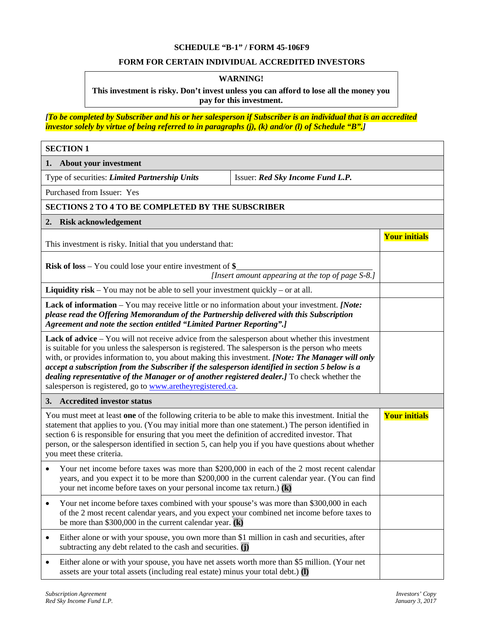## **SCHEDULE "B-1" / FORM 45-106F9**

# **FORM FOR CERTAIN INDIVIDUAL ACCREDITED INVESTORS**

# **WARNING!**

## **This investment is risky. Don't invest unless you can afford to lose all the money you pay for this investment.**

*[To be completed by Subscriber and his or her salesperson if Subscriber is an individual that is an accredited investor solely by virtue of being referred to in paragraphs (j), (k) and/or (l) of Schedule "B".]*

| <b>SECTION 1</b>                                                                                                                                                                                                                                                                                                                                                                                                                                                                                                                                                          |                                                   |                      |
|---------------------------------------------------------------------------------------------------------------------------------------------------------------------------------------------------------------------------------------------------------------------------------------------------------------------------------------------------------------------------------------------------------------------------------------------------------------------------------------------------------------------------------------------------------------------------|---------------------------------------------------|----------------------|
| About your investment<br>1.                                                                                                                                                                                                                                                                                                                                                                                                                                                                                                                                               |                                                   |                      |
| Type of securities: Limited Partnership Units                                                                                                                                                                                                                                                                                                                                                                                                                                                                                                                             |                                                   |                      |
| Purchased from Issuer: Yes                                                                                                                                                                                                                                                                                                                                                                                                                                                                                                                                                |                                                   |                      |
| <b>SECTIONS 2 TO 4 TO BE COMPLETED BY THE SUBSCRIBER</b>                                                                                                                                                                                                                                                                                                                                                                                                                                                                                                                  |                                                   |                      |
| <b>Risk acknowledgement</b><br>2.                                                                                                                                                                                                                                                                                                                                                                                                                                                                                                                                         |                                                   |                      |
| This investment is risky. Initial that you understand that:                                                                                                                                                                                                                                                                                                                                                                                                                                                                                                               |                                                   | <b>Your initials</b> |
| <b>Risk of loss</b> – You could lose your entire investment of $\$$                                                                                                                                                                                                                                                                                                                                                                                                                                                                                                       | [Insert amount appearing at the top of page S-8.] |                      |
| <b>Liquidity risk</b> – You may not be able to sell your investment quickly – or at all.                                                                                                                                                                                                                                                                                                                                                                                                                                                                                  |                                                   |                      |
| Lack of information – You may receive little or no information about your investment. [Note:<br>please read the Offering Memorandum of the Partnership delivered with this Subscription<br>Agreement and note the section entitled "Limited Partner Reporting".]                                                                                                                                                                                                                                                                                                          |                                                   |                      |
| Lack of advice – You will not receive advice from the salesperson about whether this investment<br>is suitable for you unless the salesperson is registered. The salesperson is the person who meets<br>with, or provides information to, you about making this investment. [Note: The Manager will only<br>accept a subscription from the Subscriber if the salesperson identified in section 5 below is a<br>dealing representative of the Manager or of another registered dealer.] To check whether the<br>salesperson is registered, go to www.aretheyregistered.ca. |                                                   |                      |
| <b>Accredited investor status</b><br>3.                                                                                                                                                                                                                                                                                                                                                                                                                                                                                                                                   |                                                   |                      |
| You must meet at least one of the following criteria to be able to make this investment. Initial the<br>statement that applies to you. (You may initial more than one statement.) The person identified in<br>section 6 is responsible for ensuring that you meet the definition of accredited investor. That<br>person, or the salesperson identified in section 5, can help you if you have questions about whether<br>you meet these criteria.                                                                                                                         |                                                   | <b>Your initials</b> |
| Your net income before taxes was more than \$200,000 in each of the 2 most recent calendar<br>years, and you expect it to be more than \$200,000 in the current calendar year. (You can find<br>your net income before taxes on your personal income tax return.) $(k)$                                                                                                                                                                                                                                                                                                   |                                                   |                      |
| Your net income before taxes combined with your spouse's was more than \$300,000 in each<br>of the 2 most recent calendar years, and you expect your combined net income before taxes to<br>be more than \$300,000 in the current calendar year. $(k)$                                                                                                                                                                                                                                                                                                                    |                                                   |                      |
| Either alone or with your spouse, you own more than \$1 million in cash and securities, after<br>$\bullet$<br>subtracting any debt related to the cash and securities. (j)                                                                                                                                                                                                                                                                                                                                                                                                |                                                   |                      |
| Either alone or with your spouse, you have net assets worth more than \$5 million. (Your net<br>assets are your total assets (including real estate) minus your total debt.) (I)                                                                                                                                                                                                                                                                                                                                                                                          |                                                   |                      |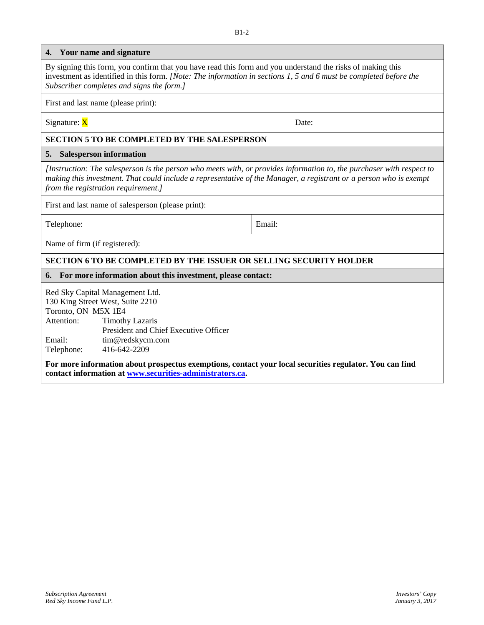| 4.                                                        | Your name and signature                                                                                                                                                                                                                                                            |  |       |
|-----------------------------------------------------------|------------------------------------------------------------------------------------------------------------------------------------------------------------------------------------------------------------------------------------------------------------------------------------|--|-------|
|                                                           | By signing this form, you confirm that you have read this form and you understand the risks of making this<br>investment as identified in this form. [Note: The information in sections 1, 5 and 6 must be completed before the<br>Subscriber completes and signs the form.]       |  |       |
|                                                           | First and last name (please print):                                                                                                                                                                                                                                                |  |       |
| Signature: X                                              |                                                                                                                                                                                                                                                                                    |  | Date: |
|                                                           | <b>SECTION 5 TO BE COMPLETED BY THE SALESPERSON</b>                                                                                                                                                                                                                                |  |       |
| 5.                                                        | <b>Salesperson information</b>                                                                                                                                                                                                                                                     |  |       |
|                                                           | [Instruction: The salesperson is the person who meets with, or provides information to, the purchaser with respect to<br>making this investment. That could include a representative of the Manager, a registrant or a person who is exempt<br>from the registration requirement.] |  |       |
|                                                           | First and last name of salesperson (please print):                                                                                                                                                                                                                                 |  |       |
| Telephone:<br>Email:                                      |                                                                                                                                                                                                                                                                                    |  |       |
| Name of firm (if registered):                             |                                                                                                                                                                                                                                                                                    |  |       |
|                                                           | <b>SECTION 6 TO BE COMPLETED BY THE ISSUER OR SELLING SECURITY HOLDER</b>                                                                                                                                                                                                          |  |       |
| 6.                                                        | For more information about this investment, please contact:                                                                                                                                                                                                                        |  |       |
| Toronto, ON M5X 1E4<br>Attention:<br>Email:<br>Telephone: | Red Sky Capital Management Ltd.<br>130 King Street West, Suite 2210<br><b>Timothy Lazaris</b><br>President and Chief Executive Officer<br>tim@redskycm.com<br>416-642-2209                                                                                                         |  |       |
|                                                           | For more information about prospectus exemptions, contact your local securities regulator. You can find<br>contact information at www.securities-administrators.ca.                                                                                                                |  |       |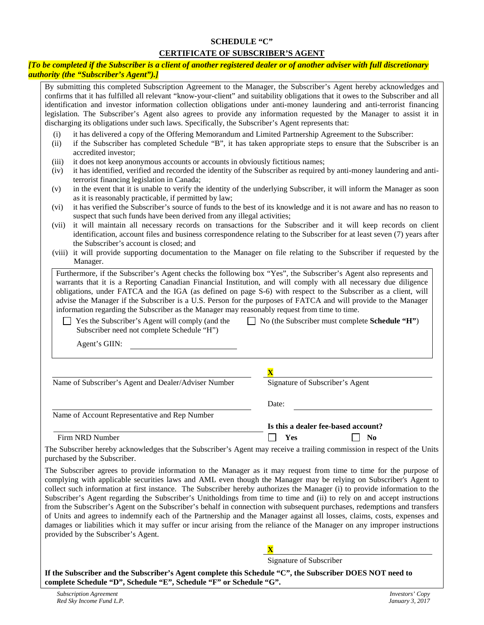# **SCHEDULE "C" CERTIFICATE OF SUBSCRIBER'S AGENT**

### *[To be completed if the Subscriber is a client of another registered dealer or of another adviser with full discretionary authority (the "Subscriber's Agent").]*

By submitting this completed Subscription Agreement to the Manager, the Subscriber's Agent hereby acknowledges and confirms that it has fulfilled all relevant "know-your-client" and suitability obligations that it owes to the Subscriber and all identification and investor information collection obligations under anti-money laundering and anti-terrorist financing legislation. The Subscriber's Agent also agrees to provide any information requested by the Manager to assist it in discharging its obligations under such laws. Specifically, the Subscriber's Agent represents that:

- (i) it has delivered a copy of the Offering Memorandum and Limited Partnership Agreement to the Subscriber:
- (ii) if the Subscriber has completed Schedule "B", it has taken appropriate steps to ensure that the Subscriber is an accredited investor;
- (iii) it does not keep anonymous accounts or accounts in obviously fictitious names;
- (iv) it has identified, verified and recorded the identity of the Subscriber as required by anti-money laundering and antiterrorist financing legislation in Canada;
- (v) in the event that it is unable to verify the identity of the underlying Subscriber, it will inform the Manager as soon as it is reasonably practicable, if permitted by law;
- (vi) it has verified the Subscriber's source of funds to the best of its knowledge and it is not aware and has no reason to suspect that such funds have been derived from any illegal activities;
- (vii) it will maintain all necessary records on transactions for the Subscriber and it will keep records on client identification, account files and business correspondence relating to the Subscriber for at least seven (7) years after the Subscriber's account is closed; and
- (viii) it will provide supporting documentation to the Manager on file relating to the Subscriber if requested by the Manager.

Furthermore, if the Subscriber's Agent checks the following box "Yes", the Subscriber's Agent also represents and warrants that it is a Reporting Canadian Financial Institution, and will comply with all necessary due diligence obligations, under FATCA and the IGA (as defined on page S-6) with respect to the Subscriber as a client, will advise the Manager if the Subscriber is a U.S. Person for the purposes of FATCA and will provide to the Manager information regarding the Subscriber as the Manager may reasonably request from time to time.

Yes the Subscriber's Agent will comply (and the Subscriber need not complete Schedule "H") No (the Subscriber must complete **Schedule "H"**)

Agent's GIIN:

| Name of Subscriber's Agent and Dealer/Adviser Number | Signature of Subscriber's Agent     |
|------------------------------------------------------|-------------------------------------|
|                                                      | Date:                               |
| Name of Account Representative and Rep Number        |                                     |
|                                                      | Is this a dealer fee-based account? |
| Firm NRD Number                                      | Yes<br>N <sub>0</sub>               |

The Subscriber hereby acknowledges that the Subscriber's Agent may receive a trailing commission in respect of the Units purchased by the Subscriber.

The Subscriber agrees to provide information to the Manager as it may request from time to time for the purpose of complying with applicable securities laws and AML even though the Manager may be relying on Subscriber's Agent to collect such information at first instance. The Subscriber hereby authorizes the Manager (i) to provide information to the Subscriber's Agent regarding the Subscriber's Unitholdings from time to time and (ii) to rely on and accept instructions from the Subscriber's Agent on the Subscriber's behalf in connection with subsequent purchases, redemptions and transfers of Units and agrees to indemnify each of the Partnership and the Manager against all losses, claims, costs, expenses and damages or liabilities which it may suffer or incur arising from the reliance of the Manager on any improper instructions provided by the Subscriber's Agent.

Signature of Subscriber

**X**

**If the Subscriber and the Subscriber's Agent complete this Schedule "C", the Subscriber DOES NOT need to complete Schedule "D", Schedule "E", Schedule "F" or Schedule "G".**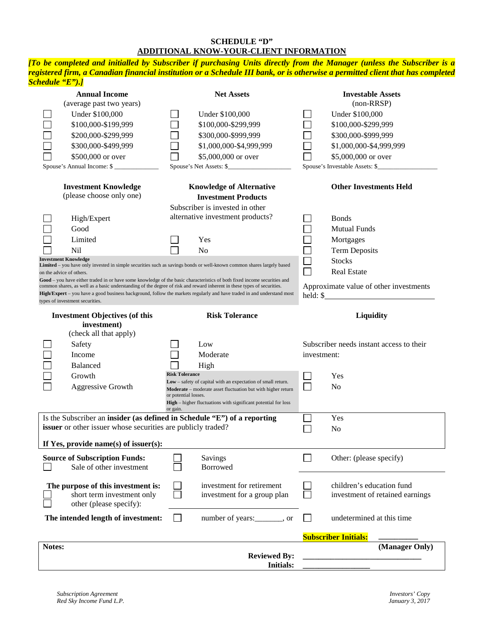## **SCHEDULE "D" ADDITIONAL KNOW-YOUR-CLIENT INFORMATION**

*[To be completed and initialled by Subscriber if purchasing Units directly from the Manager (unless the Subscriber is a registered firm, a Canadian financial institution or a Schedule III bank, or is otherwise a permitted client that has completed Schedule "E").]*

| <b>Annual Income</b><br>(average past two years)                                                                                                                                                                      | <b>Net Assets</b>                                                                                                                                                                                                                                                                                                                                                                    | <b>Investable Assets</b><br>(non-RRSP)                                                                                                             |
|-----------------------------------------------------------------------------------------------------------------------------------------------------------------------------------------------------------------------|--------------------------------------------------------------------------------------------------------------------------------------------------------------------------------------------------------------------------------------------------------------------------------------------------------------------------------------------------------------------------------------|----------------------------------------------------------------------------------------------------------------------------------------------------|
| Under \$100,000<br>\$100,000-\$199,999<br>\$200,000-\$299,999<br>\$300,000-\$499,999<br>\$500,000 or over<br>Spouse's Annual Income: \$                                                                               | Under \$100,000<br>\$100,000-\$299,999<br>\$300,000-\$999,999<br>\$1,000,000-\$4,999,999<br>\$5,000,000 or over<br>Spouse's Net Assets: \$                                                                                                                                                                                                                                           | Under \$100,000<br>\$100,000-\$299,999<br>\$300,000-\$999,999<br>\$1,000,000-\$4,999,999<br>\$5,000,000 or over<br>Spouse's Investable Assets: \$_ |
| <b>Investment Knowledge</b><br>(please choose only one)                                                                                                                                                               | <b>Knowledge of Alternative</b><br><b>Investment Products</b><br>Subscriber is invested in other                                                                                                                                                                                                                                                                                     | <b>Other Investments Held</b>                                                                                                                      |
| High/Expert<br>Good<br>Limited<br>Nil                                                                                                                                                                                 | alternative investment products?<br>Yes<br>N <sub>o</sub>                                                                                                                                                                                                                                                                                                                            | <b>Bonds</b><br><b>Mutual Funds</b><br>Mortgages<br><b>Term Deposits</b>                                                                           |
| <b>Investment Knowledge</b><br>on the advice of others.<br>common shares, as well as a basic understanding of the degree of risk and reward inherent in these types of securities.<br>types of investment securities. | Limited - you have only invested in simple securities such as savings bonds or well-known common shares largely based<br>Good – you have either traded in or have some knowledge of the basic characteristics of both fixed income securities and<br>$\text{High/Expert} -$ you have a good business background, follow the markets regularly and have traded in and understand most | <b>Stocks</b><br><b>Real Estate</b><br>Approximate value of other investments<br>$\text{held: } \$\$                                               |
| <b>Investment Objectives (of this</b><br>investment)                                                                                                                                                                  | <b>Risk Tolerance</b>                                                                                                                                                                                                                                                                                                                                                                | Liquidity                                                                                                                                          |
| (check all that apply)<br>Safety<br>Income<br><b>Balanced</b><br>Growth<br>Aggressive Growth                                                                                                                          | Low<br>Moderate<br>High<br><b>Risk Tolerance</b><br>Low - safety of capital with an expectation of small return.<br>Moderate - moderate asset fluctuation but with higher return<br>or potential losses.<br>High – higher fluctuations with significant potential for loss<br>or gain.                                                                                               | Subscriber needs instant access to their<br>investment:<br>Yes<br>N <sub>o</sub>                                                                   |
| Is the Subscriber an insider (as defined in Schedule "E") of a reporting<br>issuer or other issuer whose securities are publicly traded?                                                                              |                                                                                                                                                                                                                                                                                                                                                                                      | Yes<br>N <sub>o</sub>                                                                                                                              |
| If Yes, provide name(s) of issuer(s):<br><b>Source of Subscription Funds:</b><br>Sale of other investment                                                                                                             | Savings<br><b>Borrowed</b>                                                                                                                                                                                                                                                                                                                                                           | Other: (please specify)                                                                                                                            |
| The purpose of this investment is:<br>short term investment only<br>other (please specify):                                                                                                                           | investment for retirement<br>investment for a group plan                                                                                                                                                                                                                                                                                                                             | children's education fund<br>investment of retained earnings                                                                                       |
| The intended length of investment:                                                                                                                                                                                    | $\Box$<br>number of years: _______, or                                                                                                                                                                                                                                                                                                                                               | undetermined at this time<br>$\overline{\phantom{a}}$                                                                                              |
|                                                                                                                                                                                                                       |                                                                                                                                                                                                                                                                                                                                                                                      | <b>Subscriber Initials:</b>                                                                                                                        |
| Notes:                                                                                                                                                                                                                | <b>Reviewed By:</b><br><b>Initials:</b>                                                                                                                                                                                                                                                                                                                                              | (Manager Only)                                                                                                                                     |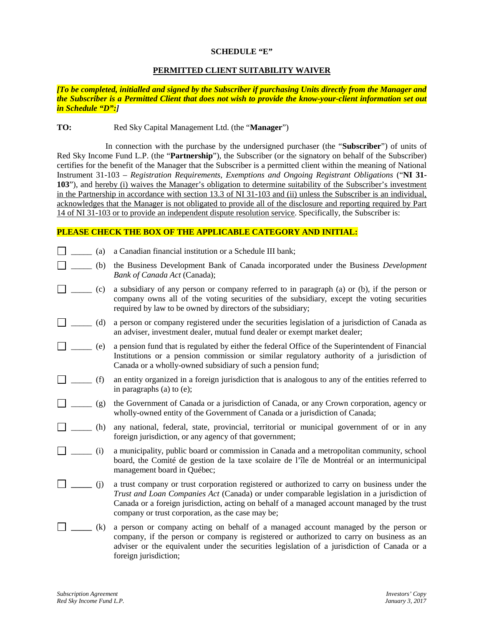### **SCHEDULE "E"**

### **PERMITTED CLIENT SUITABILITY WAIVER**

*[To be completed, initialled and signed by the Subscriber if purchasing Units directly from the Manager and the Subscriber is a Permitted Client that does not wish to provide the know-your-client information set out in Schedule "D":]*

#### **TO:** Red Sky Capital Management Ltd. (the "**Manager**")

In connection with the purchase by the undersigned purchaser (the "**Subscriber**") of units of Red Sky Income Fund L.P. (the "**Partnership**"), the Subscriber (or the signatory on behalf of the Subscriber) certifies for the benefit of the Manager that the Subscriber is a permitted client within the meaning of National Instrument 31-103 – *Registration Requirements, Exemptions and Ongoing Registrant Obligations* ("**NI 31- 103**"), and hereby (i) waives the Manager's obligation to determine suitability of the Subscriber's investment in the Partnership in accordance with section 13.3 of NI 31-103 and (ii) unless the Subscriber is an individual, acknowledges that the Manager is not obligated to provide all of the disclosure and reporting required by Part 14 of NI 31-103 or to provide an independent dispute resolution service. Specifically, the Subscriber is:

### **PLEASE CHECK THE BOX OF THE APPLICABLE CATEGORY AND INITIAL:**

|  |  |  |  |  | (a) a Canadian financial institution or a Schedule III bank; |  |  |  |  |
|--|--|--|--|--|--------------------------------------------------------------|--|--|--|--|
|--|--|--|--|--|--------------------------------------------------------------|--|--|--|--|

- \_\_\_\_\_ (b) the Business Development Bank of Canada incorporated under the Business *Development Bank of Canada Act* (Canada);
- $\Box$  (c) a subsidiary of any person or company referred to in paragraph (a) or (b), if the person or company owns all of the voting securities of the subsidiary, except the voting securities required by law to be owned by directors of the subsidiary;
- $\Box$  (d) a person or company registered under the securities legislation of a jurisdiction of Canada as an adviser, investment dealer, mutual fund dealer or exempt market dealer;
- $\Box$   $\Box$  (e) a pension fund that is regulated by either the federal Office of the Superintendent of Financial Institutions or a pension commission or similar regulatory authority of a jurisdiction of Canada or a wholly-owned subsidiary of such a pension fund;
- $\Box$   $\Box$  (f) an entity organized in a foreign jurisdiction that is analogous to any of the entities referred to in paragraphs (a) to (e);
- \_\_\_\_\_ (g) the Government of Canada or a jurisdiction of Canada, or any Crown corporation, agency or wholly-owned entity of the Government of Canada or a jurisdiction of Canada;
- \_\_\_\_\_ (h) any national, federal, state, provincial, territorial or municipal government of or in any foreign jurisdiction, or any agency of that government;
- $\Box$   $\Box$  (i) a municipality, public board or commission in Canada and a metropolitan community, school board, the Comité de gestion de la taxe scolaire de l'île de Montréal or an intermunicipal management board in Québec;
- **\_\_\_\_\_** (j) a trust company or trust corporation registered or authorized to carry on business under the *Trust and Loan Companies Act* (Canada) or under comparable legislation in a jurisdiction of Canada or a foreign jurisdiction, acting on behalf of a managed account managed by the trust company or trust corporation, as the case may be;
- **\_\_\_\_\_** (k) a person or company acting on behalf of a managed account managed by the person or company, if the person or company is registered or authorized to carry on business as an adviser or the equivalent under the securities legislation of a jurisdiction of Canada or a foreign jurisdiction;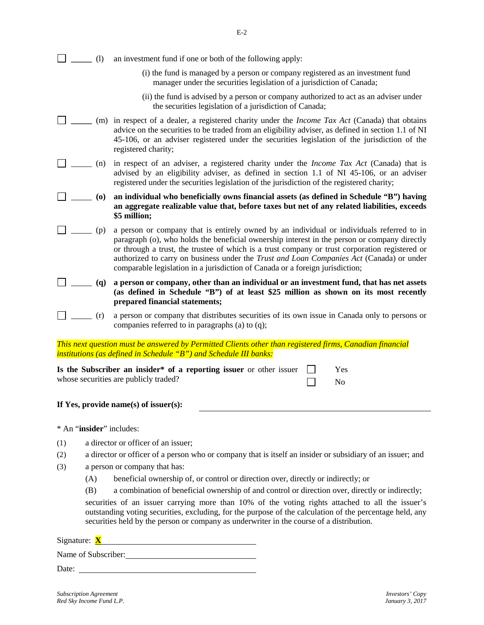|  |  | an investment fund if one or both of the following apply: |  |
|--|--|-----------------------------------------------------------|--|
|--|--|-----------------------------------------------------------|--|

- (i) the fund is managed by a person or company registered as an investment fund manager under the securities legislation of a jurisdiction of Canada;
- (ii) the fund is advised by a person or company authorized to act as an adviser under the securities legislation of a jurisdiction of Canada;
- **\_\_\_\_\_** (m) in respect of a dealer, a registered charity under the *Income Tax Act* (Canada) that obtains advice on the securities to be traded from an eligibility adviser, as defined in section 1.1 of NI 45-106, or an adviser registered under the securities legislation of the jurisdiction of the registered charity;
- \_\_\_\_\_ (n) in respect of an adviser, a registered charity under the *Income Tax Act* (Canada) that is advised by an eligibility adviser, as defined in section 1.1 of NI 45-106, or an adviser registered under the securities legislation of the jurisdiction of the registered charity;
- \_\_\_\_\_ **(o) an individual who beneficially owns financial assets (as defined in Schedule "B") having an aggregate realizable value that, before taxes but net of any related liabilities, exceeds \$5 million;**
- $\Box$  \_\_\_\_\_ (p) a person or company that is entirely owned by an individual or individuals referred to in paragraph (o), who holds the beneficial ownership interest in the person or company directly or through a trust, the trustee of which is a trust company or trust corporation registered or authorized to carry on business under the *Trust and Loan Companies Act* (Canada) or under comparable legislation in a jurisdiction of Canada or a foreign jurisdiction;
- \_\_\_\_\_ **(q) a person or company, other than an individual or an investment fund, that has net assets (as defined in Schedule "B") of at least \$25 million as shown on its most recently prepared financial statements;**
- $\Box$   $\Box$  (r) a person or company that distributes securities of its own issue in Canada only to persons or companies referred to in paragraphs (a) to (q);

*This next question must be answered by Permitted Clients other than registered firms, Canadian financial institutions (as defined in Schedule "B") and Schedule III banks:*

| Is the Subscriber an insider <sup>*</sup> of a reporting issuer or other issuer | Yes  |
|---------------------------------------------------------------------------------|------|
| whose securities are publicly traded?                                           | - No |

## **If Yes, provide name(s) of issuer(s):**

\* An "**insider**" includes:

- (1) a director or officer of an issuer;
- (2) a director or officer of a person who or company that is itself an insider or subsidiary of an issuer; and
- (3) a person or company that has:
	- (A) beneficial ownership of, or control or direction over, directly or indirectly; or
	- (B) a combination of beneficial ownership of and control or direction over, directly or indirectly;

securities of an issuer carrying more than 10% of the voting rights attached to all the issuer's outstanding voting securities, excluding, for the purpose of the calculation of the percentage held, any securities held by the person or company as underwriter in the course of a distribution.

| Signature: <b>X</b> |  |
|---------------------|--|
| Name of Subscriber: |  |

Date:

 $\Box$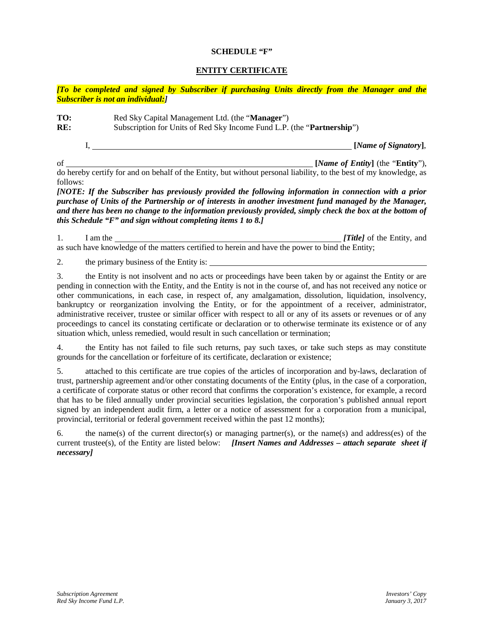### **SCHEDULE "F"**

## **ENTITY CERTIFICATE**

*[To be completed and signed by Subscriber if purchasing Units directly from the Manager and the Subscriber is not an individual:]*

**TO:** Red Sky Capital Management Ltd. (the "**Manager**") **RE:** Subscription for Units of Red Sky Income Fund L.P. (the "**Partnership**")

I, **[***Name of Signatory***]**,

of **[***Name of Entity***]** (the "**Entity**"), do hereby certify for and on behalf of the Entity, but without personal liability, to the best of my knowledge, as follows:

*[NOTE: If the Subscriber has previously provided the following information in connection with a prior purchase of Units of the Partnership or of interests in another investment fund managed by the Manager, and there has been no change to the information previously provided, simply check the box at the bottom of this Schedule "F" and sign without completing items 1 to 8.]*

| I am the | [Title] of the Entity, and                                                                       |
|----------|--------------------------------------------------------------------------------------------------|
|          | as such have knowledge of the matters certified to herein and have the power to bind the Entity; |

2. the primary business of the Entity is:

3. the Entity is not insolvent and no acts or proceedings have been taken by or against the Entity or are pending in connection with the Entity, and the Entity is not in the course of, and has not received any notice or other communications, in each case, in respect of, any amalgamation, dissolution, liquidation, insolvency, bankruptcy or reorganization involving the Entity, or for the appointment of a receiver, administrator, administrative receiver, trustee or similar officer with respect to all or any of its assets or revenues or of any proceedings to cancel its constating certificate or declaration or to otherwise terminate its existence or of any situation which, unless remedied, would result in such cancellation or termination;

4. the Entity has not failed to file such returns, pay such taxes, or take such steps as may constitute grounds for the cancellation or forfeiture of its certificate, declaration or existence;

5. attached to this certificate are true copies of the articles of incorporation and by-laws, declaration of trust, partnership agreement and/or other constating documents of the Entity (plus, in the case of a corporation, a certificate of corporate status or other record that confirms the corporation's existence, for example, a record that has to be filed annually under provincial securities legislation, the corporation's published annual report signed by an independent audit firm, a letter or a notice of assessment for a corporation from a municipal, provincial, territorial or federal government received within the past 12 months);

6. the name(s) of the current director(s) or managing partner(s), or the name(s) and address(es) of the current trustee(s), of the Entity are listed below: *[Insert Names and Addresses – attach separate sheet if necessary]*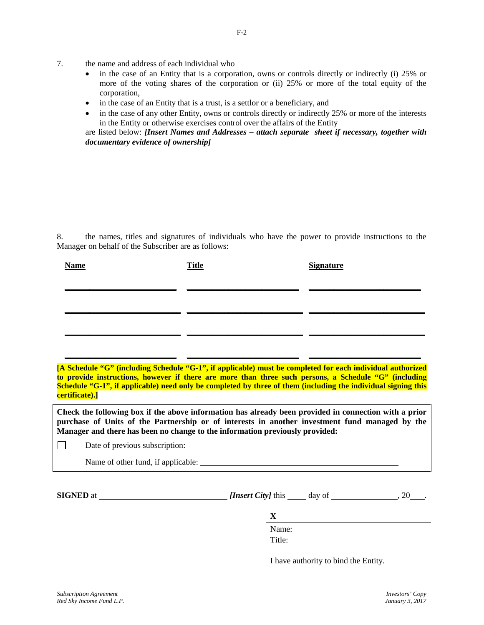- 7. the name and address of each individual who
	- in the case of an Entity that is a corporation, owns or controls directly or indirectly (i) 25% or more of the voting shares of the corporation or (ii) 25% or more of the total equity of the corporation,
	- in the case of an Entity that is a trust, is a settlor or a beneficiary, and
	- in the case of any other Entity, owns or controls directly or indirectly 25% or more of the interests in the Entity or otherwise exercises control over the affairs of the Entity

are listed below: *[Insert Names and Addresses – attach separate sheet if necessary, together with documentary evidence of ownership]*

8. the names, titles and signatures of individuals who have the power to provide instructions to the Manager on behalf of the Subscriber are as follows:

| <b>Name</b> | <b>Title</b> | <b>Signature</b> |
|-------------|--------------|------------------|
|             |              |                  |
|             |              |                  |
|             |              |                  |
|             |              |                  |

**[A Schedule "G" (including Schedule "G-1", if applicable) must be completed for each individual authorized to provide instructions, however if there are more than three such persons, a Schedule "G" (including Schedule "G-1", if applicable) need only be completed by three of them (including the individual signing this certificate).]**

**\_\_\_\_\_\_\_\_\_\_\_\_\_\_\_\_\_\_\_\_\_\_\_\_\_\_\_ \_\_\_\_\_\_\_\_\_\_\_\_\_\_\_\_\_\_\_\_\_\_\_\_\_\_\_ \_\_\_\_\_\_\_\_\_\_\_\_\_\_\_\_\_\_\_\_\_\_\_\_\_\_\_**

**Check the following box if the above information has already been provided in connection with a prior purchase of Units of the Partnership or of interests in another investment fund managed by the Manager and there has been no change to the information previously provided:**

Date of previous subscription:

Name of other fund, if applicable:

 $\Box$ 

**SIGNED** at  $\frac{[Insert\,City]}{[Insert\,City]}$  this  $\frac{day}{dy}$  of  $\frac{20}{x}$ .

**X** Name:

Title<sup>.</sup>

I have authority to bind the Entity.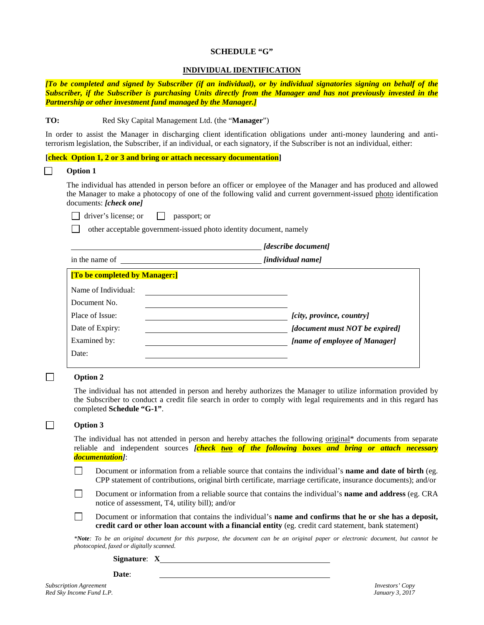#### **SCHEDULE "G"**

### **INDIVIDUAL IDENTIFICATION**

*[To be completed and signed by Subscriber (if an individual), or by individual signatories signing on behalf of the Subscriber, if the Subscriber is purchasing Units directly from the Manager and has not previously invested in the Partnership or other investment fund managed by the Manager.]*

#### **TO:** Red Sky Capital Management Ltd. (the "**Manager**")

In order to assist the Manager in discharging client identification obligations under anti-money laundering and antiterrorism legislation, the Subscriber, if an individual, or each signatory, if the Subscriber is not an individual, either:

### **[check Option 1, 2 or 3 and bring or attach necessary documentation]**

**Option 1**

The individual has attended in person before an officer or employee of the Manager and has produced and allowed the Manager to make a photocopy of one of the following valid and current government-issued photo identification documents: *[check one]*

 $\Box$  driver's license; or  $\Box$  passport; or

other acceptable government-issued photo identity document, namely

*[describe document]*

in the name of *<i>individual name* 

| [To be completed by Manager:] |                                |
|-------------------------------|--------------------------------|
| Name of Individual:           |                                |
| Document No.                  |                                |
| Place of Issue:               | [city, province, country]      |
| Date of Expiry:               | [document must NOT be expired] |
| Examined by:                  | [name of employee of Manager]  |
| Date:                         |                                |
|                               |                                |

#### **Option 2**

 $\Box$ 

 $\Box$ 

The individual has not attended in person and hereby authorizes the Manager to utilize information provided by the Subscriber to conduct a credit file search in order to comply with legal requirements and in this regard has completed **Schedule "G-1"**.

#### **Option 3**

The individual has not attended in person and hereby attaches the following original\* documents from separate reliable and independent sources *[check two of the following boxes and bring or attach necessary documentation]*:

- $\Box$ Document or information from a reliable source that contains the individual's **name and date of birth** (eg. CPP statement of contributions, original birth certificate, marriage certificate, insurance documents); and/or
- $\Box$ Document or information from a reliable source that contains the individual's **name and address** (eg. CRA notice of assessment, T4, utility bill); and/or
- $\Box$ Document or information that contains the individual's **name and confirms that he or she has a deposit, credit card or other loan account with a financial entity** (eg. credit card statement, bank statement)

*\*Note: To be an original document for this purpose, the document can be an original paper or electronic document, but cannot be photocopied, faxed or digitally scanned.*

- **Signature**: **X**
- **Date**:

*Subscription Agreement Investors' Copy Red Sky Income Fund L.P. January 3, 2017*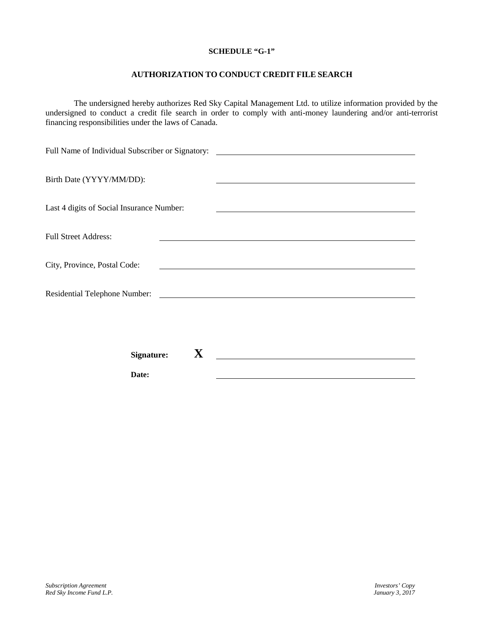### **SCHEDULE "G-1"**

# **AUTHORIZATION TO CONDUCT CREDIT FILE SEARCH**

The undersigned hereby authorizes Red Sky Capital Management Ltd. to utilize information provided by the undersigned to conduct a credit file search in order to comply with anti-money laundering and/or anti-terrorist financing responsibilities under the laws of Canada.

| Birth Date (YYYY/MM/DD):                  |                                                                                                                      |
|-------------------------------------------|----------------------------------------------------------------------------------------------------------------------|
|                                           |                                                                                                                      |
|                                           |                                                                                                                      |
| Last 4 digits of Social Insurance Number: | <u> 1989 - Johann Barn, mars et al. (b. 1989)</u>                                                                    |
|                                           |                                                                                                                      |
| <b>Full Street Address:</b>               |                                                                                                                      |
|                                           |                                                                                                                      |
| City, Province, Postal Code:              | <u> 1980 - John Stein, marking and de Britain and de Britain and de Britain and de Britain and de Britain and de</u> |
|                                           |                                                                                                                      |
|                                           |                                                                                                                      |
|                                           |                                                                                                                      |
|                                           |                                                                                                                      |
|                                           |                                                                                                                      |
|                                           |                                                                                                                      |
| X<br><b>Signature:</b>                    |                                                                                                                      |
|                                           |                                                                                                                      |
| Date:                                     |                                                                                                                      |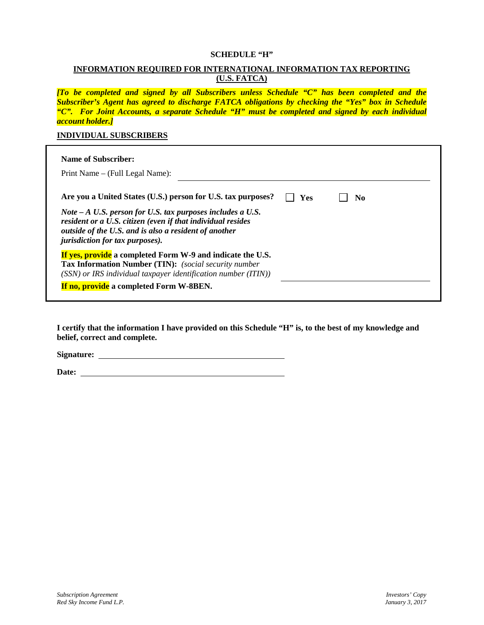### **SCHEDULE "H"**

# **INFORMATION REQUIRED FOR INTERNATIONAL INFORMATION TAX REPORTING (U.S. FATCA)**

*[To be completed and signed by all Subscribers unless Schedule "C" has been completed and the Subscriber's Agent has agreed to discharge FATCA obligations by checking the "Yes" box in Schedule "C". For Joint Accounts, a separate Schedule "H" must be completed and signed by each individual account holder.]*

### **INDIVIDUAL SUBSCRIBERS**

| <b>Name of Subscriber:</b><br>Print Name – (Full Legal Name):                                                                                                                                                                                                                                 |     |     |  |
|-----------------------------------------------------------------------------------------------------------------------------------------------------------------------------------------------------------------------------------------------------------------------------------------------|-----|-----|--|
| Are you a United States (U.S.) person for U.S. tax purposes?<br>Note $-A$ U.S. person for U.S. tax purposes includes a U.S.<br>resident or a U.S. citizen (even if that individual resides<br>outside of the U.S. and is also a resident of another<br><i>jurisdiction for tax purposes).</i> | Yes | No. |  |
| If yes, provide a completed Form W-9 and indicate the U.S.<br><b>Tax Information Number (TIN):</b> (social security number<br>(SSN) or IRS individual taxpayer identification number (ITIN))<br>If no, provide a completed Form W-8BEN.                                                       |     |     |  |

**I certify that the information I have provided on this Schedule "H" is, to the best of my knowledge and belief, correct and complete.**

**Signature:**

Date: <u>the contract of the contract of the contract of the contract of the contract of the contract of the contract of the contract of the contract of the contract of the contract of the contract of the contract of the con</u>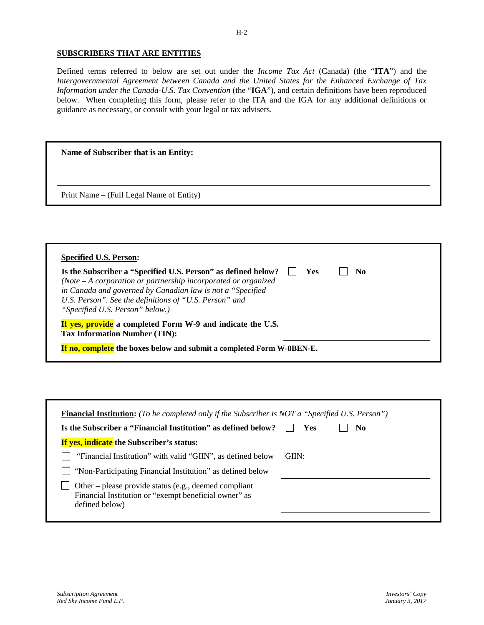### **SUBSCRIBERS THAT ARE ENTITIES**

Defined terms referred to below are set out under the *Income Tax Act* (Canada) (the "**ITA**") and the *Intergovernmental Agreement between Canada and the United States for the Enhanced Exchange of Tax Information under the Canada-U.S. Tax Convention* (the "**IGA**"), and certain definitions have been reproduced below. When completing this form, please refer to the ITA and the IGA for any additional definitions or guidance as necessary, or consult with your legal or tax advisers.

| Name of Subscriber that is an Entity:    |  |  |
|------------------------------------------|--|--|
| Print Name – (Full Legal Name of Entity) |  |  |

| Is the Subscriber a "Specified U.S. Person" as defined below?<br>(Note $-A$ corporation or partnership incorporated or organized<br>in Canada and governed by Canadian law is not a "Specified"<br>U.S. Person". See the definitions of "U.S. Person" and<br>"Specified U.S. Person" below.) | <b>Yes</b> | No |  |
|----------------------------------------------------------------------------------------------------------------------------------------------------------------------------------------------------------------------------------------------------------------------------------------------|------------|----|--|
| If yes, provide a completed Form W-9 and indicate the U.S.<br><b>Tax Information Number (TIN):</b>                                                                                                                                                                                           |            |    |  |

| Is the Subscriber a "Financial Institution" as defined below?                                                                    | Yes   | No. |
|----------------------------------------------------------------------------------------------------------------------------------|-------|-----|
| <b>If yes, indicate</b> the Subscriber's status:                                                                                 |       |     |
| "Financial Institution" with valid "GIIN", as defined below                                                                      | GIIN: |     |
| "Non-Participating Financial Institution" as defined below                                                                       |       |     |
| Other – please provide status (e.g., deemed compliant<br>Financial Institution or "exempt beneficial owner" as<br>defined below) |       |     |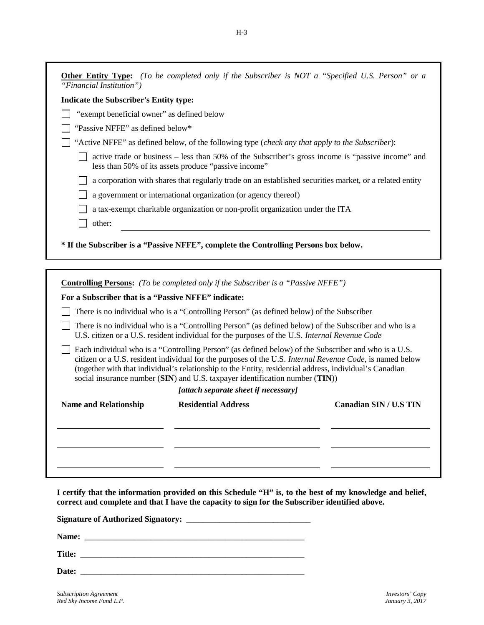| "Financial Institution")                            |                                                                                                                                                                                                                                                                                                                                                                                                             |
|-----------------------------------------------------|-------------------------------------------------------------------------------------------------------------------------------------------------------------------------------------------------------------------------------------------------------------------------------------------------------------------------------------------------------------------------------------------------------------|
| <b>Indicate the Subscriber's Entity type:</b>       |                                                                                                                                                                                                                                                                                                                                                                                                             |
| "exempt beneficial owner" as defined below          |                                                                                                                                                                                                                                                                                                                                                                                                             |
| "Passive NFFE" as defined below*                    |                                                                                                                                                                                                                                                                                                                                                                                                             |
|                                                     | "Active NFFE" as defined below, of the following type (check any that apply to the Subscriber):                                                                                                                                                                                                                                                                                                             |
|                                                     | active trade or business – less than 50% of the Subscriber's gross income is "passive income" and<br>less than 50% of its assets produce "passive income"                                                                                                                                                                                                                                                   |
|                                                     | a corporation with shares that regularly trade on an established securities market, or a related entity                                                                                                                                                                                                                                                                                                     |
|                                                     | a government or international organization (or agency thereof)                                                                                                                                                                                                                                                                                                                                              |
|                                                     | a tax-exempt charitable organization or non-profit organization under the ITA                                                                                                                                                                                                                                                                                                                               |
| other:                                              |                                                                                                                                                                                                                                                                                                                                                                                                             |
|                                                     | * If the Subscriber is a "Passive NFFE", complete the Controlling Persons box below.<br><b>Controlling Persons:</b> (To be completed only if the Subscriber is a "Passive NFFE")                                                                                                                                                                                                                            |
| For a Subscriber that is a "Passive NFFE" indicate: |                                                                                                                                                                                                                                                                                                                                                                                                             |
|                                                     | There is no individual who is a "Controlling Person" (as defined below) of the Subscriber                                                                                                                                                                                                                                                                                                                   |
|                                                     | There is no individual who is a "Controlling Person" (as defined below) of the Subscriber and who is a<br>U.S. citizen or a U.S. resident individual for the purposes of the U.S. Internal Revenue Code                                                                                                                                                                                                     |
|                                                     | Each individual who is a "Controlling Person" (as defined below) of the Subscriber and who is a U.S.<br>citizen or a U.S. resident individual for the purposes of the U.S. Internal Revenue Code, is named below<br>(together with that individual's relationship to the Entity, residential address, individual's Canadian<br>social insurance number (SIN) and U.S. taxpayer identification number (TIN)) |
|                                                     | [attach separate sheet if necessary]<br><b>Canadian SIN / U.S TIN</b>                                                                                                                                                                                                                                                                                                                                       |

**I certify that the information provided on this Schedule "H" is, to the best of my knowledge and belief, correct and complete and that I have the capacity to sign for the Subscriber identified above.**

**Signature of Authorized Signatory:** \_\_\_\_\_\_\_\_\_\_\_\_\_\_\_\_\_\_\_\_\_\_\_\_\_\_\_\_\_\_

**Name:** \_\_\_\_\_\_\_\_\_\_\_\_\_\_\_\_\_\_\_\_\_\_\_\_\_\_\_\_\_\_\_\_\_\_\_\_\_\_\_\_\_\_\_\_\_\_\_\_\_\_\_\_\_

**Title:** \_\_\_\_\_\_\_\_\_\_\_\_\_\_\_\_\_\_\_\_\_\_\_\_\_\_\_\_\_\_\_\_\_\_\_\_\_\_\_\_\_\_\_\_\_\_\_\_\_\_\_\_\_\_

**Date:** \_\_\_\_\_\_\_\_\_\_\_\_\_\_\_\_\_\_\_\_\_\_\_\_\_\_\_\_\_\_\_\_\_\_\_\_\_\_\_\_\_\_\_\_\_\_\_\_\_\_\_\_\_\_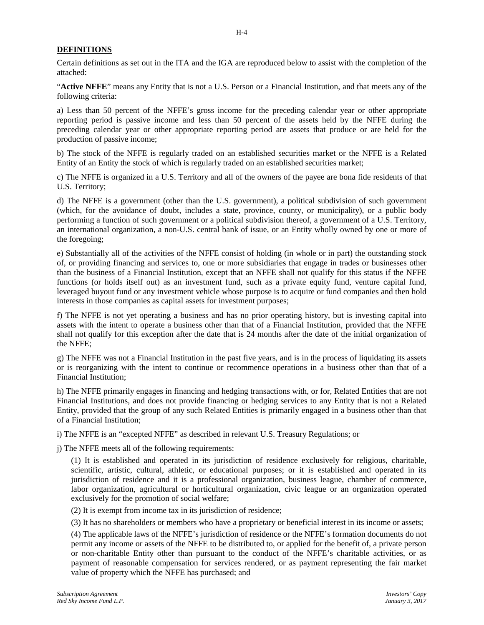### **DEFINITIONS**

Certain definitions as set out in the ITA and the IGA are reproduced below to assist with the completion of the attached:

"**Active NFFE**" means any Entity that is not a U.S. Person or a Financial Institution, and that meets any of the following criteria:

a) Less than 50 percent of the NFFE's gross income for the preceding calendar year or other appropriate reporting period is passive income and less than 50 percent of the assets held by the NFFE during the preceding calendar year or other appropriate reporting period are assets that produce or are held for the production of passive income;

b) The stock of the NFFE is regularly traded on an established securities market or the NFFE is a Related Entity of an Entity the stock of which is regularly traded on an established securities market;

c) The NFFE is organized in a U.S. Territory and all of the owners of the payee are bona fide residents of that U.S. Territory;

d) The NFFE is a government (other than the U.S. government), a political subdivision of such government (which, for the avoidance of doubt, includes a state, province, county, or municipality), or a public body performing a function of such government or a political subdivision thereof, a government of a U.S. Territory, an international organization, a non-U.S. central bank of issue, or an Entity wholly owned by one or more of the foregoing;

e) Substantially all of the activities of the NFFE consist of holding (in whole or in part) the outstanding stock of, or providing financing and services to, one or more subsidiaries that engage in trades or businesses other than the business of a Financial Institution, except that an NFFE shall not qualify for this status if the NFFE functions (or holds itself out) as an investment fund, such as a private equity fund, venture capital fund, leveraged buyout fund or any investment vehicle whose purpose is to acquire or fund companies and then hold interests in those companies as capital assets for investment purposes;

f) The NFFE is not yet operating a business and has no prior operating history, but is investing capital into assets with the intent to operate a business other than that of a Financial Institution, provided that the NFFE shall not qualify for this exception after the date that is 24 months after the date of the initial organization of the NFFE;

g) The NFFE was not a Financial Institution in the past five years, and is in the process of liquidating its assets or is reorganizing with the intent to continue or recommence operations in a business other than that of a Financial Institution;

h) The NFFE primarily engages in financing and hedging transactions with, or for, Related Entities that are not Financial Institutions, and does not provide financing or hedging services to any Entity that is not a Related Entity, provided that the group of any such Related Entities is primarily engaged in a business other than that of a Financial Institution;

i) The NFFE is an "excepted NFFE" as described in relevant U.S. Treasury Regulations; or

j) The NFFE meets all of the following requirements:

(1) It is established and operated in its jurisdiction of residence exclusively for religious, charitable, scientific, artistic, cultural, athletic, or educational purposes; or it is established and operated in its jurisdiction of residence and it is a professional organization, business league, chamber of commerce, labor organization, agricultural or horticultural organization, civic league or an organization operated exclusively for the promotion of social welfare;

(2) It is exempt from income tax in its jurisdiction of residence;

(3) It has no shareholders or members who have a proprietary or beneficial interest in its income or assets;

(4) The applicable laws of the NFFE's jurisdiction of residence or the NFFE's formation documents do not permit any income or assets of the NFFE to be distributed to, or applied for the benefit of, a private person or non-charitable Entity other than pursuant to the conduct of the NFFE's charitable activities, or as payment of reasonable compensation for services rendered, or as payment representing the fair market value of property which the NFFE has purchased; and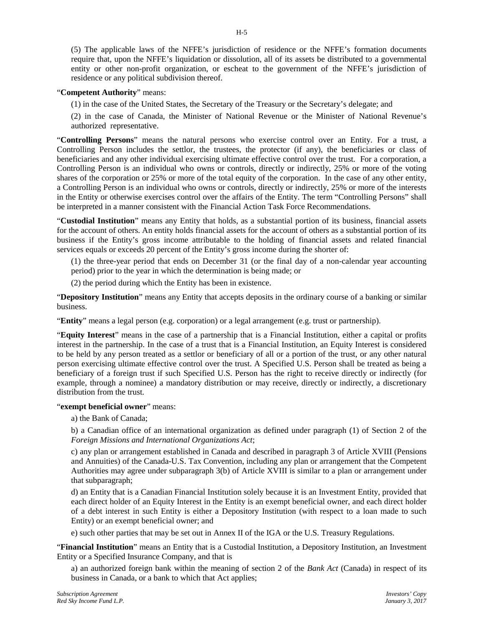(5) The applicable laws of the NFFE's jurisdiction of residence or the NFFE's formation documents require that, upon the NFFE's liquidation or dissolution, all of its assets be distributed to a governmental entity or other non-profit organization, or escheat to the government of the NFFE's jurisdiction of residence or any political subdivision thereof.

### "**Competent Authority**" means:

(1) in the case of the United States, the Secretary of the Treasury or the Secretary's delegate; and

(2) in the case of Canada, the Minister of National Revenue or the Minister of National Revenue's authorized representative.

"**Controlling Persons**" means the natural persons who exercise control over an Entity. For a trust, a Controlling Person includes the settlor, the trustees, the protector (if any), the beneficiaries or class of beneficiaries and any other individual exercising ultimate effective control over the trust. For a corporation, a Controlling Person is an individual who owns or controls, directly or indirectly, 25% or more of the voting shares of the corporation or 25% or more of the total equity of the corporation. In the case of any other entity, a Controlling Person is an individual who owns or controls, directly or indirectly, 25% or more of the interests in the Entity or otherwise exercises control over the affairs of the Entity. The term "Controlling Persons" shall be interpreted in a manner consistent with the Financial Action Task Force Recommendations.

"**Custodial Institution**" means any Entity that holds, as a substantial portion of its business, financial assets for the account of others. An entity holds financial assets for the account of others as a substantial portion of its business if the Entity's gross income attributable to the holding of financial assets and related financial services equals or exceeds 20 percent of the Entity's gross income during the shorter of:

(1) the three-year period that ends on December 31 (or the final day of a non-calendar year accounting period) prior to the year in which the determination is being made; or

(2) the period during which the Entity has been in existence.

"**Depository Institution**" means any Entity that accepts deposits in the ordinary course of a banking or similar business.

"**Entity**" means a legal person (e.g. corporation) or a legal arrangement (e.g. trust or partnership).

"**Equity Interest**" means in the case of a partnership that is a Financial Institution, either a capital or profits interest in the partnership. In the case of a trust that is a Financial Institution, an Equity Interest is considered to be held by any person treated as a settlor or beneficiary of all or a portion of the trust, or any other natural person exercising ultimate effective control over the trust. A Specified U.S. Person shall be treated as being a beneficiary of a foreign trust if such Specified U.S. Person has the right to receive directly or indirectly (for example, through a nominee) a mandatory distribution or may receive, directly or indirectly, a discretionary distribution from the trust.

### "**exempt beneficial owner**" means:

a) the Bank of Canada;

b) a Canadian office of an international organization as defined under paragraph (1) of Section 2 of the *Foreign Missions and International Organizations Act*;

c) any plan or arrangement established in Canada and described in paragraph 3 of Article XVIII (Pensions and Annuities) of the Canada-U.S. Tax Convention, including any plan or arrangement that the Competent Authorities may agree under subparagraph 3(b) of Article XVIII is similar to a plan or arrangement under that subparagraph;

d) an Entity that is a Canadian Financial Institution solely because it is an Investment Entity, provided that each direct holder of an Equity Interest in the Entity is an exempt beneficial owner, and each direct holder of a debt interest in such Entity is either a Depository Institution (with respect to a loan made to such Entity) or an exempt beneficial owner; and

e) such other parties that may be set out in Annex II of the IGA or the U.S. Treasury Regulations.

"**Financial Institution**" means an Entity that is a Custodial Institution, a Depository Institution, an Investment Entity or a Specified Insurance Company, and that is

a) an authorized foreign bank within the meaning of section 2 of the *Bank Act* (Canada) in respect of its business in Canada, or a bank to which that Act applies;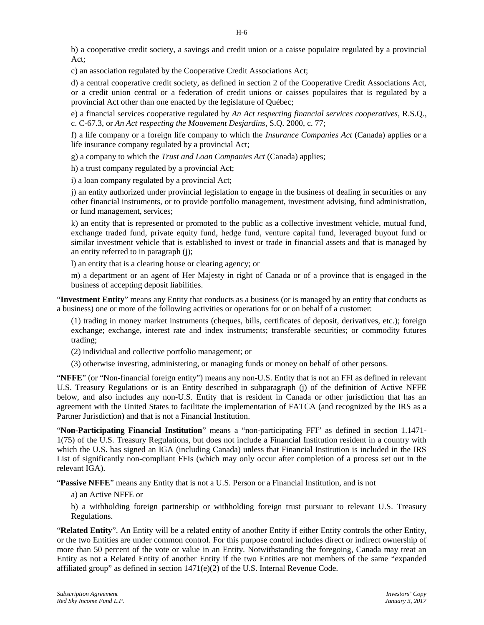b) a cooperative credit society, a savings and credit union or a caisse populaire regulated by a provincial Act;

c) an association regulated by the Cooperative Credit Associations Act;

d) a central cooperative credit society, as defined in section 2 of the Cooperative Credit Associations Act, or a credit union central or a federation of credit unions or caisses populaires that is regulated by a provincial Act other than one enacted by the legislature of Québec;

e) a financial services cooperative regulated by *An Act respecting financial services cooperatives*, R.S.Q., c. C-67.3, or *An Act respecting the Mouvement Desjardins*, S.Q. 2000, c. 77;

f) a life company or a foreign life company to which the *Insurance Companies Act* (Canada) applies or a life insurance company regulated by a provincial Act;

g) a company to which the *Trust and Loan Companies Act* (Canada) applies;

h) a trust company regulated by a provincial Act;

i) a loan company regulated by a provincial Act;

j) an entity authorized under provincial legislation to engage in the business of dealing in securities or any other financial instruments, or to provide portfolio management, investment advising, fund administration, or fund management, services;

k) an entity that is represented or promoted to the public as a collective investment vehicle, mutual fund, exchange traded fund, private equity fund, hedge fund, venture capital fund, leveraged buyout fund or similar investment vehicle that is established to invest or trade in financial assets and that is managed by an entity referred to in paragraph (j);

l) an entity that is a clearing house or clearing agency; or

m) a department or an agent of Her Majesty in right of Canada or of a province that is engaged in the business of accepting deposit liabilities.

"**Investment Entity**" means any Entity that conducts as a business (or is managed by an entity that conducts as a business) one or more of the following activities or operations for or on behalf of a customer:

(1) trading in money market instruments (cheques, bills, certificates of deposit, derivatives, etc.); foreign exchange; exchange, interest rate and index instruments; transferable securities; or commodity futures trading;

(2) individual and collective portfolio management; or

(3) otherwise investing, administering, or managing funds or money on behalf of other persons.

"**NFFE**" (or "Non-financial foreign entity") means any non-U.S. Entity that is not an FFI as defined in relevant U.S. Treasury Regulations or is an Entity described in subparagraph (j) of the definition of Active NFFE below, and also includes any non-U.S. Entity that is resident in Canada or other jurisdiction that has an agreement with the United States to facilitate the implementation of FATCA (and recognized by the IRS as a Partner Jurisdiction) and that is not a Financial Institution.

"**Non-Participating Financial Institution**" means a "non-participating FFI" as defined in section 1.1471- 1(75) of the U.S. Treasury Regulations, but does not include a Financial Institution resident in a country with which the U.S. has signed an IGA (including Canada) unless that Financial Institution is included in the IRS List of significantly non-compliant FFIs (which may only occur after completion of a process set out in the relevant IGA).

"**Passive NFFE**" means any Entity that is not a U.S. Person or a Financial Institution, and is not

a) an Active NFFE or

b) a withholding foreign partnership or withholding foreign trust pursuant to relevant U.S. Treasury Regulations.

"**Related Entity**". An Entity will be a related entity of another Entity if either Entity controls the other Entity, or the two Entities are under common control. For this purpose control includes direct or indirect ownership of more than 50 percent of the vote or value in an Entity. Notwithstanding the foregoing, Canada may treat an Entity as not a Related Entity of another Entity if the two Entities are not members of the same "expanded affiliated group" as defined in section 1471(e)(2) of the U.S. Internal Revenue Code.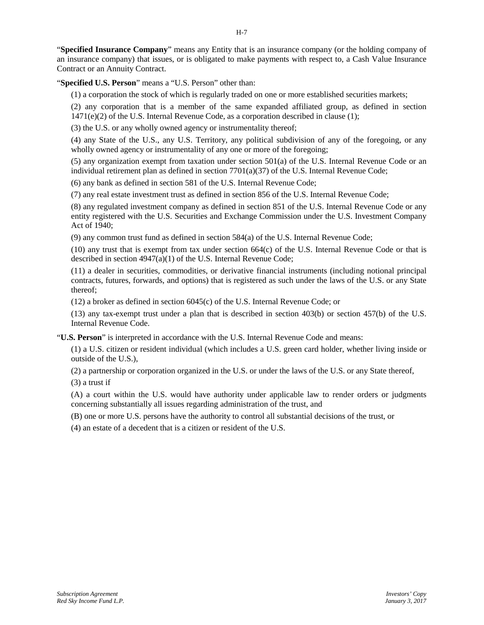"**Specified Insurance Company**" means any Entity that is an insurance company (or the holding company of an insurance company) that issues, or is obligated to make payments with respect to, a Cash Value Insurance Contract or an Annuity Contract.

"**Specified U.S. Person**" means a "U.S. Person" other than:

(1) a corporation the stock of which is regularly traded on one or more established securities markets;

(2) any corporation that is a member of the same expanded affiliated group, as defined in section  $1471(e)(2)$  of the U.S. Internal Revenue Code, as a corporation described in clause (1);

(3) the U.S. or any wholly owned agency or instrumentality thereof;

(4) any State of the U.S., any U.S. Territory, any political subdivision of any of the foregoing, or any wholly owned agency or instrumentality of any one or more of the foregoing;

(5) any organization exempt from taxation under section 501(a) of the U.S. Internal Revenue Code or an individual retirement plan as defined in section 7701(a)(37) of the U.S. Internal Revenue Code;

(6) any bank as defined in section 581 of the U.S. Internal Revenue Code;

(7) any real estate investment trust as defined in section 856 of the U.S. Internal Revenue Code;

(8) any regulated investment company as defined in section 851 of the U.S. Internal Revenue Code or any entity registered with the U.S. Securities and Exchange Commission under the U.S. Investment Company Act of 1940;

(9) any common trust fund as defined in section 584(a) of the U.S. Internal Revenue Code;

(10) any trust that is exempt from tax under section 664(c) of the U.S. Internal Revenue Code or that is described in section 4947(a)(1) of the U.S. Internal Revenue Code;

(11) a dealer in securities, commodities, or derivative financial instruments (including notional principal contracts, futures, forwards, and options) that is registered as such under the laws of the U.S. or any State thereof;

(12) a broker as defined in section 6045(c) of the U.S. Internal Revenue Code; or

(13) any tax-exempt trust under a plan that is described in section 403(b) or section 457(b) of the U.S. Internal Revenue Code.

"**U.S. Person**" is interpreted in accordance with the U.S. Internal Revenue Code and means:

(1) a U.S. citizen or resident individual (which includes a U.S. green card holder, whether living inside or outside of the U.S.),

(2) a partnership or corporation organized in the U.S. or under the laws of the U.S. or any State thereof,

(3) a trust if

(A) a court within the U.S. would have authority under applicable law to render orders or judgments concerning substantially all issues regarding administration of the trust, and

(B) one or more U.S. persons have the authority to control all substantial decisions of the trust, or

(4) an estate of a decedent that is a citizen or resident of the U.S.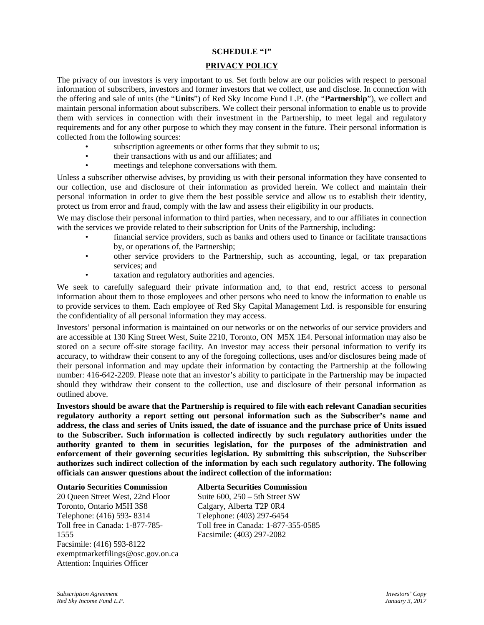### **SCHEDULE "I"**

# **PRIVACY POLICY**

The privacy of our investors is very important to us. Set forth below are our policies with respect to personal information of subscribers, investors and former investors that we collect, use and disclose. In connection with the offering and sale of units (the "**Units**") of Red Sky Income Fund L.P. (the "**Partnership**"), we collect and maintain personal information about subscribers. We collect their personal information to enable us to provide them with services in connection with their investment in the Partnership, to meet legal and regulatory requirements and for any other purpose to which they may consent in the future. Their personal information is collected from the following sources:

- subscription agreements or other forms that they submit to us;
- their transactions with us and our affiliates; and
- meetings and telephone conversations with them.

Unless a subscriber otherwise advises, by providing us with their personal information they have consented to our collection, use and disclosure of their information as provided herein. We collect and maintain their personal information in order to give them the best possible service and allow us to establish their identity, protect us from error and fraud, comply with the law and assess their eligibility in our products.

We may disclose their personal information to third parties, when necessary, and to our affiliates in connection with the services we provide related to their subscription for Units of the Partnership, including:

- financial service providers, such as banks and others used to finance or facilitate transactions by, or operations of, the Partnership;
- other service providers to the Partnership, such as accounting, legal, or tax preparation services; and
- taxation and regulatory authorities and agencies.

We seek to carefully safeguard their private information and, to that end, restrict access to personal information about them to those employees and other persons who need to know the information to enable us to provide services to them. Each employee of Red Sky Capital Management Ltd. is responsible for ensuring the confidentiality of all personal information they may access.

Investors' personal information is maintained on our networks or on the networks of our service providers and are accessible at 130 King Street West, Suite 2210, Toronto, ON M5X 1E4. Personal information may also be stored on a secure off-site storage facility. An investor may access their personal information to verify its accuracy, to withdraw their consent to any of the foregoing collections, uses and/or disclosures being made of their personal information and may update their information by contacting the Partnership at the following number: 416-642-2209. Please note that an investor's ability to participate in the Partnership may be impacted should they withdraw their consent to the collection, use and disclosure of their personal information as outlined above.

**Investors should be aware that the Partnership is required to file with each relevant Canadian securities regulatory authority a report setting out personal information such as the Subscriber's name and address, the class and series of Units issued, the date of issuance and the purchase price of Units issued to the Subscriber. Such information is collected indirectly by such regulatory authorities under the authority granted to them in securities legislation, for the purposes of the administration and enforcement of their governing securities legislation. By submitting this subscription, the Subscriber authorizes such indirect collection of the information by each such regulatory authority. The following officials can answer questions about the indirect collection of the information:**

#### **Ontario Securities Commission**

20 Queen Street West, 22nd Floor Toronto, Ontario M5H 3S8 Telephone: (416) 593- 8314 Toll free in Canada: 1-877-785- 1555 Facsimile: (416) 593-8122 exemptmarketfilings@osc.gov.on.ca Attention: Inquiries Officer

### **Alberta Securities Commission**

Suite 600, 250 – 5th Street SW Calgary, Alberta T2P 0R4 Telephone: (403) 297-6454 Toll free in Canada: 1-877-355-0585 Facsimile: (403) 297-2082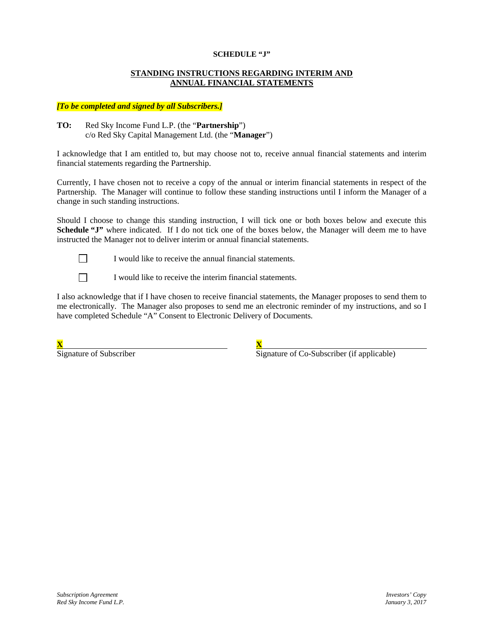### **SCHEDULE "J"**

### **STANDING INSTRUCTIONS REGARDING INTERIM AND ANNUAL FINANCIAL STATEMENTS**

### *[To be completed and signed by all Subscribers.]*

### **TO:** Red Sky Income Fund L.P. (the "**Partnership**") c/o Red Sky Capital Management Ltd. (the "**Manager**")

I acknowledge that I am entitled to, but may choose not to, receive annual financial statements and interim financial statements regarding the Partnership.

Currently, I have chosen not to receive a copy of the annual or interim financial statements in respect of the Partnership. The Manager will continue to follow these standing instructions until I inform the Manager of a change in such standing instructions.

Should I choose to change this standing instruction, I will tick one or both boxes below and execute this **Schedule "J"** where indicated. If I do not tick one of the boxes below, the Manager will deem me to have instructed the Manager not to deliver interim or annual financial statements.



 $\Box$ 

I would like to receive the annual financial statements.

I would like to receive the interim financial statements.

I also acknowledge that if I have chosen to receive financial statements, the Manager proposes to send them to me electronically. The Manager also proposes to send me an electronic reminder of my instructions, and so I have completed Schedule "A" Consent to Electronic Delivery of Documents.

| $-$<br><u>ж.</u> |  |
|------------------|--|
|                  |  |

Signature of Subscriber Subscriber Signature of Co-Subscriber (if applicable)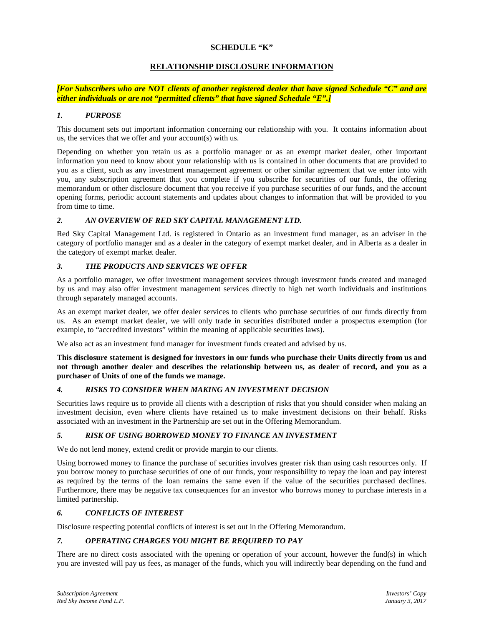### **SCHEDULE "K"**

### **RELATIONSHIP DISCLOSURE INFORMATION**

*[For Subscribers who are NOT clients of another registered dealer that have signed Schedule "C" and are either individuals or are not "permitted clients" that have signed Schedule "E".]*

### *1. PURPOSE*

This document sets out important information concerning our relationship with you. It contains information about us, the services that we offer and your account(s) with us.

Depending on whether you retain us as a portfolio manager or as an exempt market dealer, other important information you need to know about your relationship with us is contained in other documents that are provided to you as a client, such as any investment management agreement or other similar agreement that we enter into with you, any subscription agreement that you complete if you subscribe for securities of our funds, the offering memorandum or other disclosure document that you receive if you purchase securities of our funds, and the account opening forms, periodic account statements and updates about changes to information that will be provided to you from time to time.

### *2. AN OVERVIEW OF RED SKY CAPITAL MANAGEMENT LTD.*

Red Sky Capital Management Ltd. is registered in Ontario as an investment fund manager, as an adviser in the category of portfolio manager and as a dealer in the category of exempt market dealer, and in Alberta as a dealer in the category of exempt market dealer.

### *3. THE PRODUCTS AND SERVICES WE OFFER*

As a portfolio manager, we offer investment management services through investment funds created and managed by us and may also offer investment management services directly to high net worth individuals and institutions through separately managed accounts.

As an exempt market dealer, we offer dealer services to clients who purchase securities of our funds directly from us. As an exempt market dealer, we will only trade in securities distributed under a prospectus exemption (for example, to "accredited investors" within the meaning of applicable securities laws).

We also act as an investment fund manager for investment funds created and advised by us.

**This disclosure statement is designed for investors in our funds who purchase their Units directly from us and not through another dealer and describes the relationship between us, as dealer of record, and you as a purchaser of Units of one of the funds we manage.**

### *4. RISKS TO CONSIDER WHEN MAKING AN INVESTMENT DECISION*

Securities laws require us to provide all clients with a description of risks that you should consider when making an investment decision, even where clients have retained us to make investment decisions on their behalf. Risks associated with an investment in the Partnership are set out in the Offering Memorandum.

### *5. RISK OF USING BORROWED MONEY TO FINANCE AN INVESTMENT*

We do not lend money, extend credit or provide margin to our clients.

Using borrowed money to finance the purchase of securities involves greater risk than using cash resources only. If you borrow money to purchase securities of one of our funds, your responsibility to repay the loan and pay interest as required by the terms of the loan remains the same even if the value of the securities purchased declines. Furthermore, there may be negative tax consequences for an investor who borrows money to purchase interests in a limited partnership.

### *6. CONFLICTS OF INTEREST*

Disclosure respecting potential conflicts of interest is set out in the Offering Memorandum.

## *7. OPERATING CHARGES YOU MIGHT BE REQUIRED TO PAY*

There are no direct costs associated with the opening or operation of your account, however the fund(s) in which you are invested will pay us fees, as manager of the funds, which you will indirectly bear depending on the fund and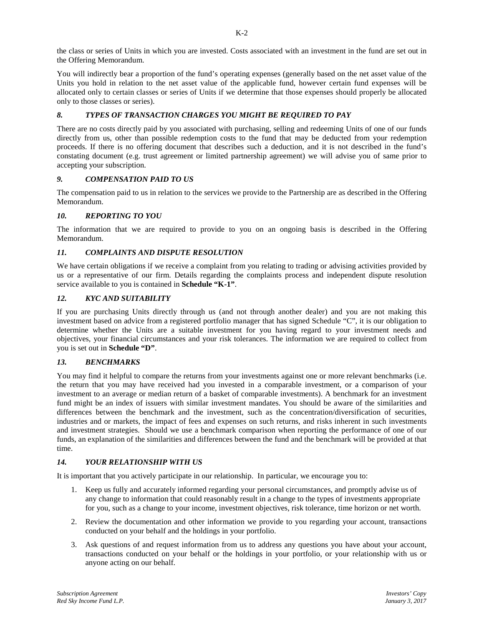the class or series of Units in which you are invested. Costs associated with an investment in the fund are set out in the Offering Memorandum.

You will indirectly bear a proportion of the fund's operating expenses (generally based on the net asset value of the Units you hold in relation to the net asset value of the applicable fund, however certain fund expenses will be allocated only to certain classes or series of Units if we determine that those expenses should properly be allocated only to those classes or series).

## *8. TYPES OF TRANSACTION CHARGES YOU MIGHT BE REQUIRED TO PAY*

There are no costs directly paid by you associated with purchasing, selling and redeeming Units of one of our funds directly from us, other than possible redemption costs to the fund that may be deducted from your redemption proceeds. If there is no offering document that describes such a deduction, and it is not described in the fund's constating document (e.g. trust agreement or limited partnership agreement) we will advise you of same prior to accepting your subscription.

### *9. COMPENSATION PAID TO US*

The compensation paid to us in relation to the services we provide to the Partnership are as described in the Offering Memorandum.

### *10. REPORTING TO YOU*

The information that we are required to provide to you on an ongoing basis is described in the Offering Memorandum.

#### *11. COMPLAINTS AND DISPUTE RESOLUTION*

We have certain obligations if we receive a complaint from you relating to trading or advising activities provided by us or a representative of our firm. Details regarding the complaints process and independent dispute resolution service available to you is contained in **Schedule "K-1"**.

#### *12. KYC AND SUITABILITY*

If you are purchasing Units directly through us (and not through another dealer) and you are not making this investment based on advice from a registered portfolio manager that has signed Schedule "C", it is our obligation to determine whether the Units are a suitable investment for you having regard to your investment needs and objectives, your financial circumstances and your risk tolerances. The information we are required to collect from you is set out in **Schedule "D"**.

### *13. BENCHMARKS*

You may find it helpful to compare the returns from your investments against one or more relevant benchmarks (i.e. the return that you may have received had you invested in a comparable investment, or a comparison of your investment to an average or median return of a basket of comparable investments). A benchmark for an investment fund might be an index of issuers with similar investment mandates. You should be aware of the similarities and differences between the benchmark and the investment, such as the concentration/diversification of securities, industries and or markets, the impact of fees and expenses on such returns, and risks inherent in such investments and investment strategies. Should we use a benchmark comparison when reporting the performance of one of our funds, an explanation of the similarities and differences between the fund and the benchmark will be provided at that time.

### *14. YOUR RELATIONSHIP WITH US*

It is important that you actively participate in our relationship. In particular, we encourage you to:

- 1. Keep us fully and accurately informed regarding your personal circumstances, and promptly advise us of any change to information that could reasonably result in a change to the types of investments appropriate for you, such as a change to your income, investment objectives, risk tolerance, time horizon or net worth.
- 2. Review the documentation and other information we provide to you regarding your account, transactions conducted on your behalf and the holdings in your portfolio.
- 3. Ask questions of and request information from us to address any questions you have about your account, transactions conducted on your behalf or the holdings in your portfolio, or your relationship with us or anyone acting on our behalf.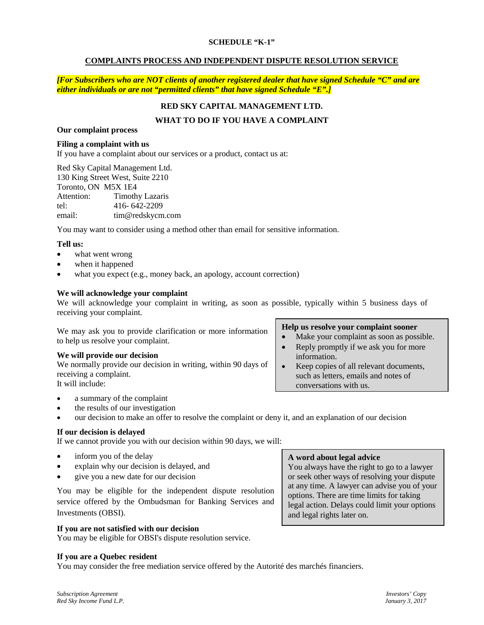### **SCHEDULE "K-1"**

### **COMPLAINTS PROCESS AND INDEPENDENT DISPUTE RESOLUTION SERVICE**

*[For Subscribers who are NOT clients of another registered dealer that have signed Schedule "C" and are either individuals or are not "permitted clients" that have signed Schedule "E".]*

# **RED SKY CAPITAL MANAGEMENT LTD.**

# **WHAT TO DO IF YOU HAVE A COMPLAINT**

# **Our complaint process**

# **Filing a complaint with us**

If you have a complaint about our services or a product, contact us at:

Red Sky Capital Management Ltd. 130 King Street West, Suite 2210 Toronto, ON M5X 1E4 Attention: Timothy Lazaris tel: 416- 642-2209 email: tim@redskycm.com

You may want to consider using a method other than email for sensitive information.

### **Tell us:**

- what went wrong
- when it happened
- what you expect (e.g., money back, an apology, account correction)

### **We will acknowledge your complaint**

We will acknowledge your complaint in writing, as soon as possible, typically within 5 business days of receiving your complaint.

We may ask you to provide clarification or more information to help us resolve your complaint.

### **We will provide our decision**

We normally provide our decision in writing, within 90 days of receiving a complaint. It will include:

### **Help us resolve your complaint sooner**

- Make your complaint as soon as possible.
- Reply promptly if we ask you for more information.
- Keep copies of all relevant documents, such as letters, emails and notes of conversations with us.

a summary of the complaint

- the results of our investigation
- our decision to make an offer to resolve the complaint or deny it, and an explanation of our decision

## **If our decision is delayed**

If we cannot provide you with our decision within 90 days, we will:

- inform you of the delay
- explain why our decision is delayed, and
- give you a new date for our decision

You may be eligible for the independent dispute resolution service offered by the Ombudsman for Banking Services and Investments (OBSI).

### **If you are not satisfied with our decision**

You may be eligible for OBSI's dispute resolution service.

### **If you are a Quebec resident**

You may consider the free mediation service offered by the Autorité des marchés financiers.

**A word about legal advice**

You always have the right to go to a lawyer or seek other ways of resolving your dispute at any time. A lawyer can advise you of your options. There are time limits for taking legal action. Delays could limit your options and legal rights later on.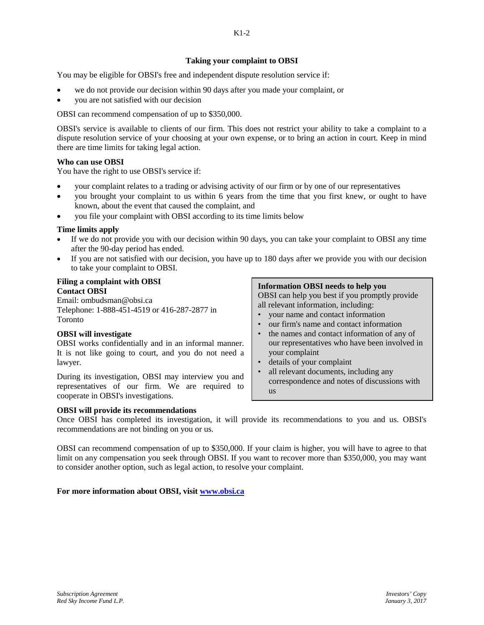## **Taking your complaint to OBSI**

You may be eligible for OBSI's free and independent dispute resolution service if:

- we do not provide our decision within 90 days after you made your complaint, or
- you are not satisfied with our decision

OBSI can recommend compensation of up to \$350,000.

OBSI's service is available to clients of our firm. This does not restrict your ability to take a complaint to a dispute resolution service of your choosing at your own expense, or to bring an action in court. Keep in mind there are time limits for taking legal action.

### **Who can use OBSI**

You have the right to use OBSI's service if:

- your complaint relates to a trading or advising activity of our firm or by one of our representatives
- you brought your complaint to us within 6 years from the time that you first knew, or ought to have known, about the event that caused the complaint, and
- you file your complaint with OBSI according to its time limits below

### **Time limits apply**

- If we do not provide you with our decision within 90 days, you can take your complaint to OBSI any time after the 90-day period has ended.
- If you are not satisfied with our decision, you have up to 180 days after we provide you with our decision to take your complaint to OBSI.

#### **Filing a complaint with OBSI Contact OBSI**

Email: ombudsman@obsi.ca Telephone: 1-888-451-4519 or 416-287-2877 in Toronto

## **OBSI will investigate**

OBSI works confidentially and in an informal manner. It is not like going to court, and you do not need a lawyer.

During its investigation, OBSI may interview you and representatives of our firm. We are required to cooperate in OBSI's investigations.

### **OBSI will provide its recommendations**

# **Information OBSI needs to help you**

OBSI can help you best if you promptly provide all relevant information, including:

- your name and contact information
- our firm's name and contact information
- the names and contact information of any of our representatives who have been involved in your complaint
- details of your complaint
- all relevant documents, including any correspondence and notes of discussions with us

Once OBSI has completed its investigation, it will provide its recommendations to you and us. OBSI's recommendations are not binding on you or us.

OBSI can recommend compensation of up to \$350,000. If your claim is higher, you will have to agree to that limit on any compensation you seek through OBSI. If you want to recover more than \$350,000, you may want to consider another option, such as legal action, to resolve your complaint.

### **For more information about OBSI, visit www.obsi.ca**